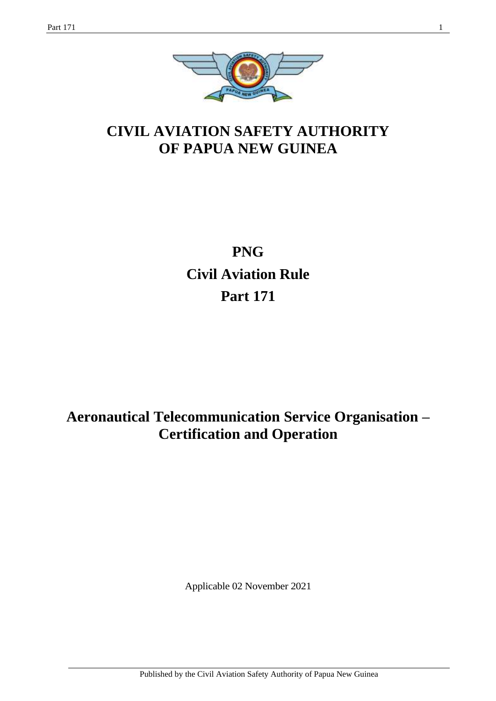

# **CIVIL AVIATION SAFETY AUTHORITY OF PAPUA NEW GUINEA**

# **PNG Civil Aviation Rule Part 171**

# **Aeronautical Telecommunication Service Organisation – Certification and Operation**

Applicable 02 November 2021

Published by the Civil Aviation Safety Authority of Papua New Guinea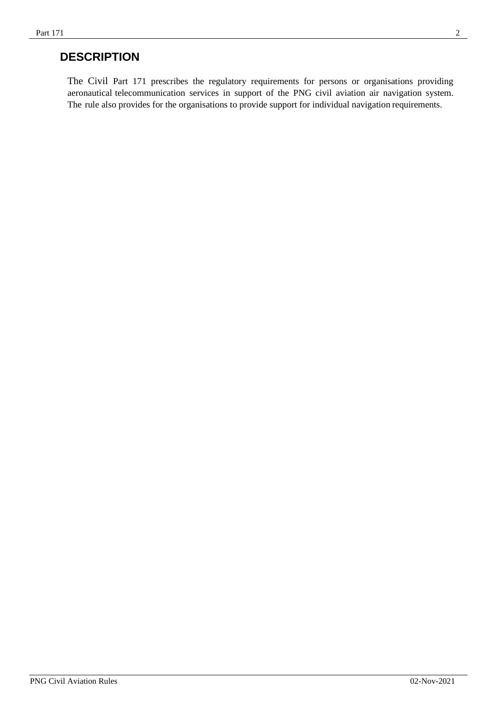## **DESCRIPTION**

The Civil Part 171 prescribes the regulatory requirements for persons or organisations providing aeronautical telecommunication services in support of the PNG civil aviation air navigation system. The rule also provides for the organisations to provide support for individual navigation requirements.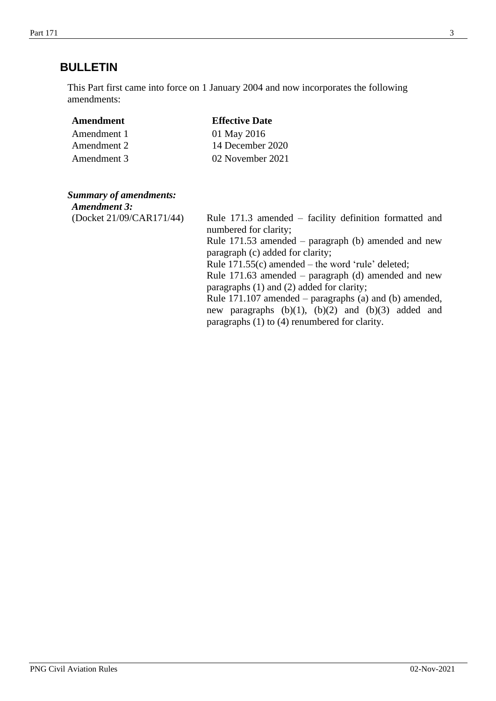## **BULLETIN**

This Part first came into force on 1 January 2004 and now incorporates the following amendments:

| Amendment   | <b>Effective Date</b> |
|-------------|-----------------------|
| Amendment 1 | 01 May 2016           |
| Amendment 2 | 14 December 2020      |
| Amendment 3 | 02 November 2021      |

### *Summary of amendments:*

| <b>Amendment 3:</b>      |                                                                                                                                                                                                                                                                                                                                                                                                       |
|--------------------------|-------------------------------------------------------------------------------------------------------------------------------------------------------------------------------------------------------------------------------------------------------------------------------------------------------------------------------------------------------------------------------------------------------|
| (Docket 21/09/CAR171/44) | Rule $171.3$ amended – facility definition formatted and<br>numbered for clarity;<br>Rule $171.53$ amended – paragraph (b) amended and new<br>paragraph (c) added for clarity;<br>Rule $171.55(c)$ amended – the word 'rule' deleted;<br>Rule $171.63$ amended – paragraph (d) amended and new<br>paragraphs (1) and (2) added for clarity;<br>Rule 171.107 amended – paragraphs (a) and (b) amended, |
|                          | new paragraphs $(b)(1)$ , $(b)(2)$ and $(b)(3)$ added and<br>paragraphs (1) to (4) renumbered for clarity.                                                                                                                                                                                                                                                                                            |
|                          |                                                                                                                                                                                                                                                                                                                                                                                                       |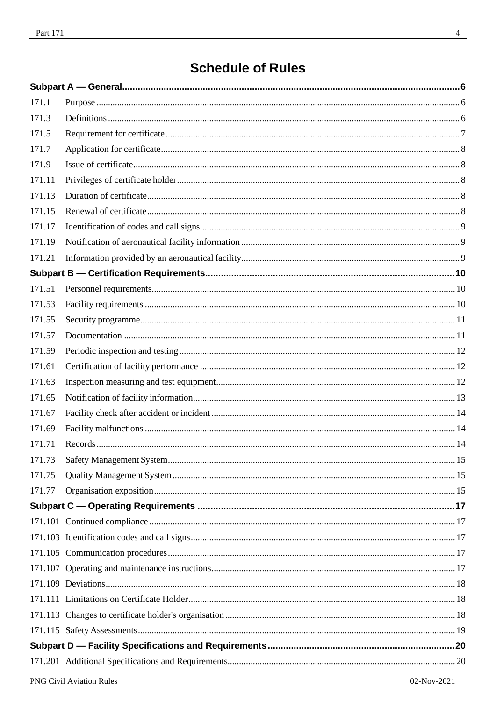# **Schedule of Rules**

| 171.1  |  |
|--------|--|
| 171.3  |  |
| 171.5  |  |
| 171.7  |  |
| 171.9  |  |
| 171.11 |  |
| 171.13 |  |
| 171.15 |  |
| 171.17 |  |
| 171.19 |  |
| 171.21 |  |
|        |  |
| 171.51 |  |
| 171.53 |  |
| 171.55 |  |
| 171.57 |  |
| 171.59 |  |
| 171.61 |  |
| 171.63 |  |
| 171.65 |  |
| 171.67 |  |
| 171.69 |  |
| 171.71 |  |
| 171.73 |  |
| 171.75 |  |
| 171.77 |  |
|        |  |
|        |  |
|        |  |
|        |  |
|        |  |
|        |  |
|        |  |
|        |  |
|        |  |
|        |  |
|        |  |
|        |  |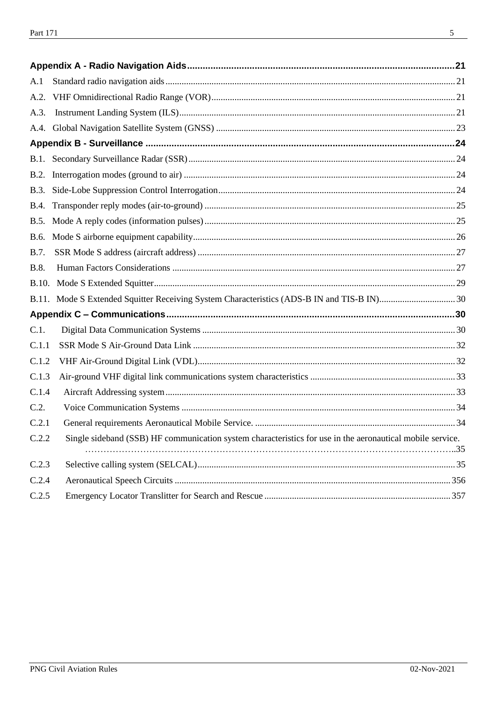| A.1          |                                                                                                           |    |
|--------------|-----------------------------------------------------------------------------------------------------------|----|
| A.2.         |                                                                                                           |    |
| A.3.         |                                                                                                           |    |
|              |                                                                                                           |    |
|              |                                                                                                           |    |
|              |                                                                                                           |    |
|              |                                                                                                           |    |
|              |                                                                                                           |    |
|              |                                                                                                           |    |
| <b>B.5.</b>  |                                                                                                           |    |
| B.6.         |                                                                                                           |    |
| B.7.         |                                                                                                           |    |
| B.8.         |                                                                                                           |    |
| <b>B.10.</b> |                                                                                                           |    |
|              |                                                                                                           |    |
|              |                                                                                                           |    |
| C.1.         |                                                                                                           |    |
| C.1.1        |                                                                                                           |    |
| C.1.2        |                                                                                                           |    |
| C.1.3        |                                                                                                           |    |
| C.1.4        |                                                                                                           |    |
| C.2.         |                                                                                                           |    |
| C.2.1        |                                                                                                           |    |
| C.2.2        | Single sideband (SSB) HF communication system characteristics for use in the aeronautical mobile service. | 35 |
| C.2.3        |                                                                                                           |    |
| C.2.4        |                                                                                                           |    |
| C.2.5        |                                                                                                           |    |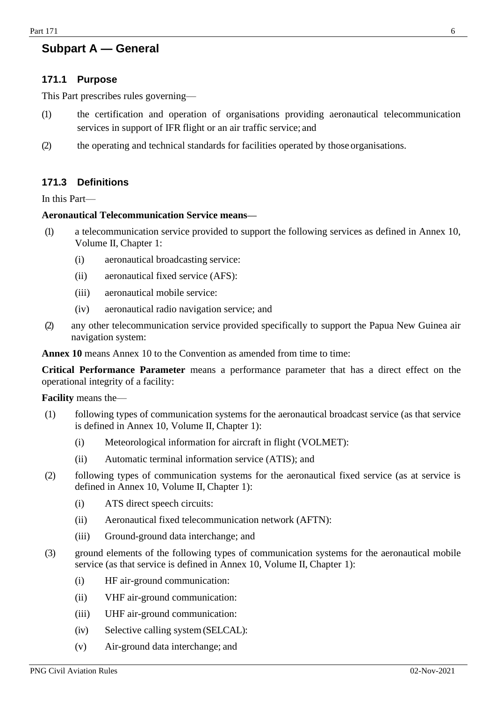## <span id="page-5-0"></span>**Subpart A — General**

#### <span id="page-5-1"></span>**171.1 Purpose**

This Part prescribes rules governing—

- (1) the certification and operation of organisations providing aeronautical telecommunication services in support of IFR flight or an air traffic service; and
- (2) the operating and technical standards for facilities operated by those organisations.

## <span id="page-5-2"></span>**171.3 Definitions**

In this Part—

#### **Aeronautical Telecommunication Service means—**

- (1) a telecommunication service provided to support the following services as defined in Annex 10, Volume II, Chapter 1:
	- (i) aeronautical broadcasting service:
	- (ii) aeronautical fixed service (AFS):
	- (iii) aeronautical mobile service:
	- (iv) aeronautical radio navigation service; and
- (2) any other telecommunication service provided specifically to support the Papua New Guinea air navigation system:

**Annex 10** means Annex 10 to the Convention as amended from time to time:

**Critical Performance Parameter** means a performance parameter that has a direct effect on the operational integrity of a facility:

**Facility** means the—

- (1) following types of communication systems for the aeronautical broadcast service (as that service is defined in Annex 10, Volume II, Chapter 1):
	- (i) Meteorological information for aircraft in flight (VOLMET):
	- (ii) Automatic terminal information service (ATIS); and
- (2) following types of communication systems for the aeronautical fixed service (as at service is defined in Annex 10, Volume II, Chapter 1):
	- (i) ATS direct speech circuits:
	- (ii) Aeronautical fixed telecommunication network (AFTN):
	- (iii) Ground-ground data interchange; and
- (3) ground elements of the following types of communication systems for the aeronautical mobile service (as that service is defined in Annex 10, Volume II, Chapter 1):
	- (i) HF air-ground communication:
	- (ii) VHF air-ground communication:
	- (iii) UHF air-ground communication:
	- (iv) Selective calling system(SELCAL):
	- (v) Air-ground data interchange; and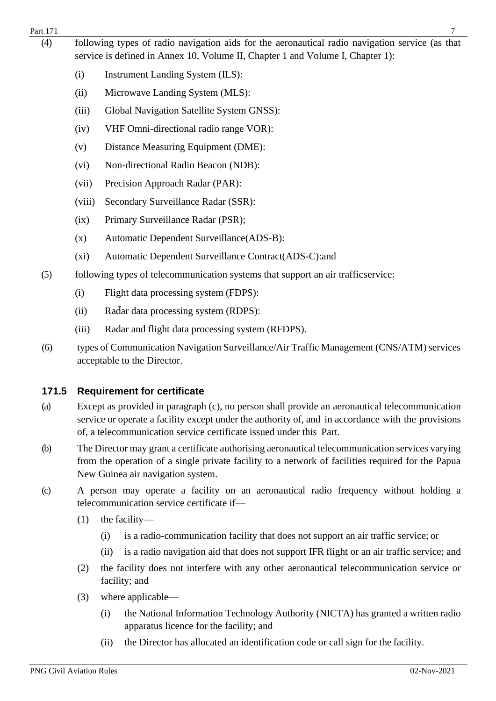#### Part 171 7

- (4) following types of radio navigation aids for the aeronautical radio navigation service (as that service is defined in Annex 10, Volume II, Chapter 1 and Volume I, Chapter 1):
	- (i) Instrument Landing System (ILS):
	- (ii) Microwave Landing System (MLS):
	- (iii) Global Navigation Satellite System GNSS):
	- (iv) VHF Omni-directional radio range VOR):
	- (v) Distance Measuring Equipment (DME):
	- (vi) Non-directional Radio Beacon (NDB):
	- (vii) Precision Approach Radar (PAR):
	- (viii) Secondary Surveillance Radar (SSR):
	- (ix) Primary Surveillance Radar (PSR);
	- (x) Automatic Dependent Surveillance(ADS-B):
	- (xi) Automatic Dependent Surveillance Contract(ADS-C):and
- (5) following types of telecommunication systems that support an air trafficservice:
	- (i) Flight data processing system (FDPS):
	- (ii) Radar data processing system (RDPS):
	- (iii) Radar and flight data processing system (RFDPS).
- (6) types of Communication Navigation Surveillance/Air Traffic Management (CNS/ATM) services acceptable to the Director.

## <span id="page-6-0"></span>**171.5 Requirement for certificate**

- (a) Except as provided in paragraph (c), no person shall provide an aeronautical telecommunication service or operate a facility except under the authority of, and in accordance with the provisions of, a telecommunication service certificate issued under this Part.
- (b) The Director may grant a certificate authorising aeronautical telecommunication services varying from the operation of a single private facility to a network of facilities required for the Papua New Guinea air navigation system.
- (c) A person may operate a facility on an aeronautical radio frequency without holding a telecommunication service certificate if—
	- (1) the facility—
		- (i) is a radio-communication facility that does not support an air traffic service; or
		- (ii) is a radio navigation aid that does not support IFR flight or an air traffic service; and
	- (2) the facility does not interfere with any other aeronautical telecommunication service or facility; and
	- (3) where applicable—
		- (i) the National Information Technology Authority (NICTA) has granted a written radio apparatus licence for the facility; and
		- (ii) the Director has allocated an identification code or call sign for the facility.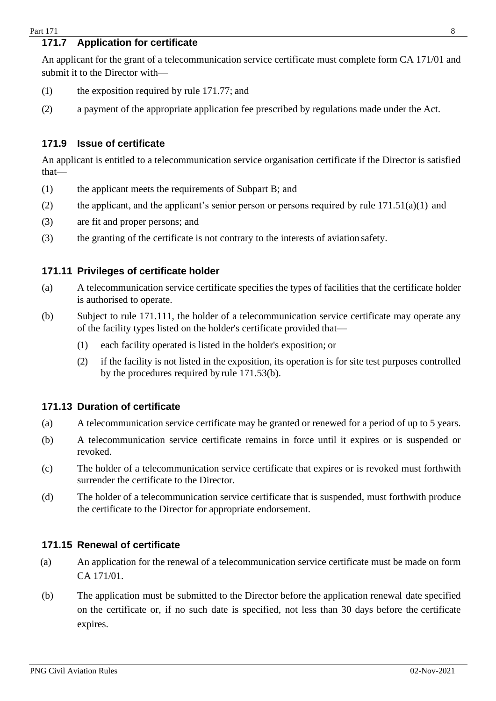## <span id="page-7-0"></span>**171.7 Application for certificate**

An applicant for the grant of a telecommunication service certificate must complete form CA 171/01 and submit it to the Director with—

- (1) the exposition required by rule 171.77; and
- (2) a payment of the appropriate application fee prescribed by regulations made under the Act.

### <span id="page-7-1"></span>**171.9 Issue of certificate**

An applicant is entitled to a telecommunication service organisation certificate if the Director is satisfied that—

- (1) the applicant meets the requirements of Subpart B; and
- (2) the applicant, and the applicant's senior person or persons required by rule  $171.51(a)(1)$  and
- (3) are fit and proper persons; and
- (3) the granting of the certificate is not contrary to the interests of aviation safety.

#### <span id="page-7-2"></span>**171.11 Privileges of certificate holder**

- (a) A telecommunication service certificate specifies the types of facilities that the certificate holder is authorised to operate.
- (b) Subject to rule 171.111, the holder of a telecommunication service certificate may operate any of the facility types listed on the holder's certificate provided that—
	- (1) each facility operated is listed in the holder's exposition; or
	- (2) if the facility is not listed in the exposition, its operation is for site test purposes controlled by the procedures required by rule 171.53(b).

#### <span id="page-7-3"></span>**171.13 Duration of certificate**

- (a) A telecommunication service certificate may be granted or renewed for a period of up to 5 years.
- (b) A telecommunication service certificate remains in force until it expires or is suspended or revoked.
- (c) The holder of a telecommunication service certificate that expires or is revoked must forthwith surrender the certificate to the Director.
- (d) The holder of a telecommunication service certificate that is suspended, must forthwith produce the certificate to the Director for appropriate endorsement.

#### <span id="page-7-4"></span>**171.15 Renewal of certificate**

- (a) An application for the renewal of a telecommunication service certificate must be made on form CA 171/01.
- (b) The application must be submitted to the Director before the application renewal date specified on the certificate or, if no such date is specified, not less than 30 days before the certificate expires.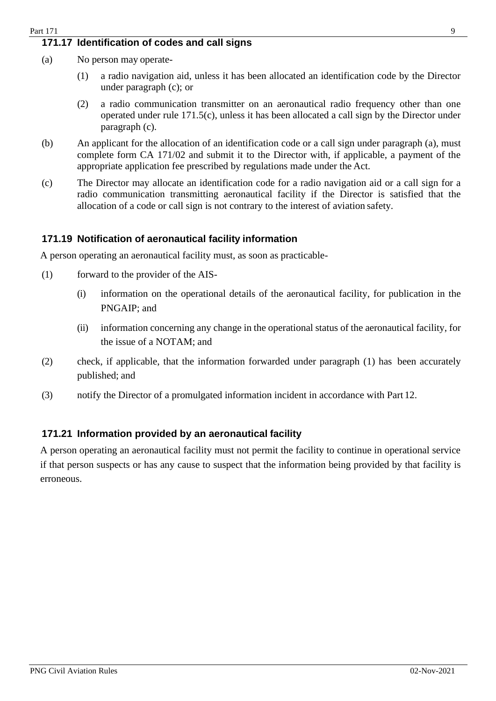#### <span id="page-8-0"></span>**171.17 Identification of codes and call signs**

- (a) No person may operate-
	- (1) a radio navigation aid, unless it has been allocated an identification code by the Director under paragraph (c); or
	- (2) a radio communication transmitter on an aeronautical radio frequency other than one operated under rule 171.5(c), unless it has been allocated a call sign by the Director under paragraph (c).
- (b) An applicant for the allocation of an identification code or a call sign under paragraph (a), must complete form CA 171/02 and submit it to the Director with, if applicable, a payment of the appropriate application fee prescribed by regulations made under the Act.
- (c) The Director may allocate an identification code for a radio navigation aid or a call sign for a radio communication transmitting aeronautical facility if the Director is satisfied that the allocation of a code or call sign is not contrary to the interest of aviation safety.

#### <span id="page-8-1"></span>**171.19 Notification of aeronautical facility information**

A person operating an aeronautical facility must, as soon as practicable-

- (1) forward to the provider of the AIS-
	- (i) information on the operational details of the aeronautical facility, for publication in the PNGAIP; and
	- (ii) information concerning any change in the operational status of the aeronautical facility, for the issue of a NOTAM; and
- (2) check, if applicable, that the information forwarded under paragraph (1) has been accurately published; and
- (3) notify the Director of a promulgated information incident in accordance with Part 12.

#### <span id="page-8-2"></span>**171.21 Information provided by an aeronautical facility**

A person operating an aeronautical facility must not permit the facility to continue in operational service if that person suspects or has any cause to suspect that the information being provided by that facility is erroneous.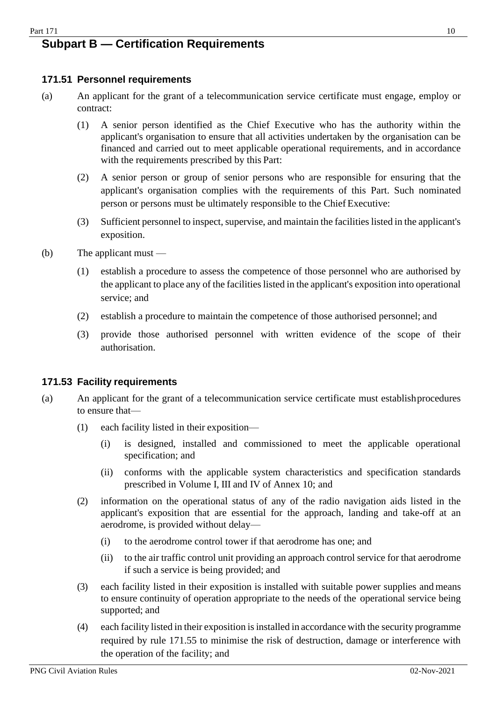#### <span id="page-9-0"></span> $Part 171$  10 **Subpart B — Certification Requirements**

## <span id="page-9-1"></span>**171.51 Personnel requirements**

- (a) An applicant for the grant of a telecommunication service certificate must engage, employ or contract:
	- (1) A senior person identified as the Chief Executive who has the authority within the applicant's organisation to ensure that all activities undertaken by the organisation can be financed and carried out to meet applicable operational requirements, and in accordance with the requirements prescribed by this Part:
	- (2) A senior person or group of senior persons who are responsible for ensuring that the applicant's organisation complies with the requirements of this Part. Such nominated person or persons must be ultimately responsible to the Chief Executive:
	- (3) Sufficient personnel to inspect, supervise, and maintain the facilities listed in the applicant's exposition.
- (b) The applicant must
	- (1) establish a procedure to assess the competence of those personnel who are authorised by the applicant to place any of the facilities listed in the applicant's exposition into operational service; and
	- (2) establish a procedure to maintain the competence of those authorised personnel; and
	- (3) provide those authorised personnel with written evidence of the scope of their authorisation.

#### <span id="page-9-2"></span>**171.53 Facility requirements**

- (a) An applicant for the grant of a telecommunication service certificate must establishprocedures to ensure that—
	- (1) each facility listed in their exposition—
		- (i) is designed, installed and commissioned to meet the applicable operational specification; and
		- (ii) conforms with the applicable system characteristics and specification standards prescribed in Volume I, III and IV of Annex 10; and
	- (2) information on the operational status of any of the radio navigation aids listed in the applicant's exposition that are essential for the approach, landing and take-off at an aerodrome, is provided without delay—
		- (i) to the aerodrome control tower if that aerodrome has one; and
		- (ii) to the air traffic control unit providing an approach control service for that aerodrome if such a service is being provided; and
	- (3) each facility listed in their exposition is installed with suitable power supplies and means to ensure continuity of operation appropriate to the needs of the operational service being supported; and
	- (4) each facility listed in their exposition isinstalled in accordance with the security programme required by rule 171.55 to minimise the risk of destruction, damage or interference with the operation of the facility; and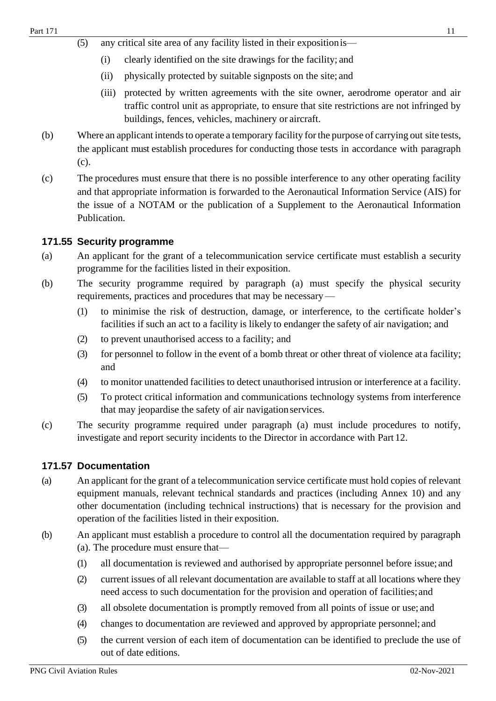- (5) any critical site area of any facility listed in their expositionis—
	- (i) clearly identified on the site drawings for the facility; and
	- (ii) physically protected by suitable signposts on the site; and
	- (iii) protected by written agreements with the site owner, aerodrome operator and air traffic control unit as appropriate, to ensure that site restrictions are not infringed by buildings, fences, vehicles, machinery or aircraft.
- (b) Where an applicant intends to operate a temporary facility for the purpose of carrying out site tests, the applicant must establish procedures for conducting those tests in accordance with paragraph (c).
- (c) The procedures must ensure that there is no possible interference to any other operating facility and that appropriate information is forwarded to the Aeronautical Information Service (AIS) for the issue of a NOTAM or the publication of a Supplement to the Aeronautical Information Publication.

#### <span id="page-10-0"></span>**171.55 Security programme**

- (a) An applicant for the grant of a telecommunication service certificate must establish a security programme for the facilities listed in their exposition.
- (b) The security programme required by paragraph (a) must specify the physical security requirements, practices and procedures that may be necessary—
	- (1) to minimise the risk of destruction, damage, or interference, to the certificate holder's facilities if such an act to a facility is likely to endanger the safety of air navigation; and
	- (2) to prevent unauthorised access to a facility; and
	- (3) for personnel to follow in the event of a bomb threat or other threat of violence ata facility; and
	- (4) to monitor unattended facilities to detect unauthorised intrusion or interference at a facility.
	- (5) To protect critical information and communications technology systems from interference that may jeopardise the safety of air navigationservices.
- (c) The security programme required under paragraph (a) must include procedures to notify, investigate and report security incidents to the Director in accordance with Part 12.

#### <span id="page-10-1"></span>**171.57 Documentation**

- (a) An applicant for the grant of a telecommunication service certificate must hold copies of relevant equipment manuals, relevant technical standards and practices (including Annex 10) and any other documentation (including technical instructions) that is necessary for the provision and operation of the facilities listed in their exposition.
- (b) An applicant must establish a procedure to control all the documentation required by paragraph (a). The procedure must ensure that—
	- (1) all documentation is reviewed and authorised by appropriate personnel before issue; and
	- (2) current issues of all relevant documentation are available to staff at all locations where they need access to such documentation for the provision and operation of facilities;and
	- (3) all obsolete documentation is promptly removed from all points of issue or use; and
	- (4) changes to documentation are reviewed and approved by appropriate personnel; and
	- (5) the current version of each item of documentation can be identified to preclude the use of out of date editions.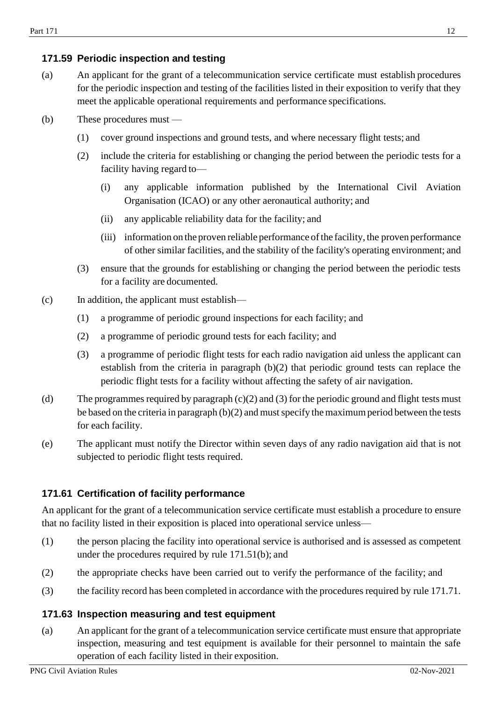## <span id="page-11-0"></span>**171.59 Periodic inspection and testing**

- (a) An applicant for the grant of a telecommunication service certificate must establish procedures for the periodic inspection and testing of the facilities listed in their exposition to verify that they meet the applicable operational requirements and performance specifications.
- (b) These procedures must
	- (1) cover ground inspections and ground tests, and where necessary flight tests; and
	- (2) include the criteria for establishing or changing the period between the periodic tests for a facility having regard to—
		- (i) any applicable information published by the International Civil Aviation Organisation (ICAO) or any other aeronautical authority; and
		- (ii) any applicable reliability data for the facility; and
		- (iii) information on the proven reliable performance of the facility, the proven performance of other similar facilities, and the stability of the facility's operating environment; and
	- (3) ensure that the grounds for establishing or changing the period between the periodic tests for a facility are documented.
- (c) In addition, the applicant must establish—
	- (1) a programme of periodic ground inspections for each facility; and
	- (2) a programme of periodic ground tests for each facility; and
	- (3) a programme of periodic flight tests for each radio navigation aid unless the applicant can establish from the criteria in paragraph (b)(2) that periodic ground tests can replace the periodic flight tests for a facility without affecting the safety of air navigation.
- (d) The programmes required by paragraph (c)(2) and (3) for the periodic ground and flight tests must be based on the criteria in paragraph  $(b)(2)$  and must specify the maximum period between the tests for each facility.
- (e) The applicant must notify the Director within seven days of any radio navigation aid that is not subjected to periodic flight tests required.

#### <span id="page-11-1"></span>**171.61 Certification of facility performance**

An applicant for the grant of a telecommunication service certificate must establish a procedure to ensure that no facility listed in their exposition is placed into operational service unless—

- (1) the person placing the facility into operational service is authorised and is assessed as competent under the procedures required by rule 171.51(b); and
- (2) the appropriate checks have been carried out to verify the performance of the facility; and
- (3) the facility record has been completed in accordance with the procedures required by rule 171.71.

#### <span id="page-11-2"></span>**171.63 Inspection measuring and test equipment**

(a) An applicant for the grant of a telecommunication service certificate must ensure that appropriate inspection, measuring and test equipment is available for their personnel to maintain the safe operation of each facility listed in their exposition.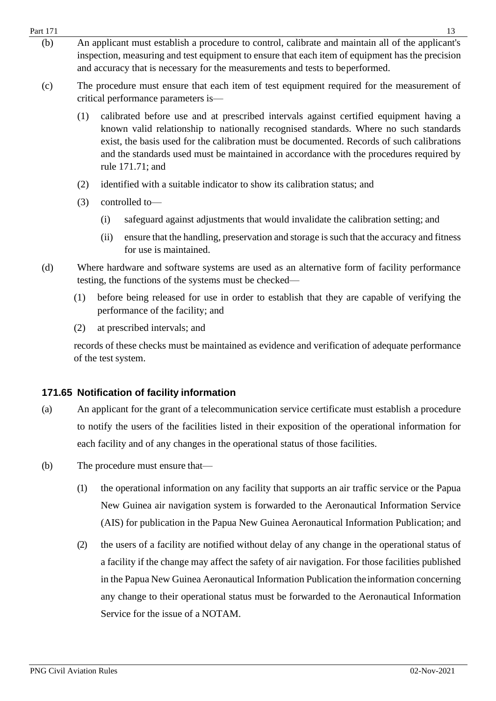- $Part 171$  13 (b) An applicant must establish a procedure to control, calibrate and maintain all of the applicant's inspection, measuring and test equipment to ensure that each item of equipment has the precision and accuracy that is necessary for the measurements and tests to beperformed.
	- (c) The procedure must ensure that each item of test equipment required for the measurement of critical performance parameters is—
		- (1) calibrated before use and at prescribed intervals against certified equipment having a known valid relationship to nationally recognised standards. Where no such standards exist, the basis used for the calibration must be documented. Records of such calibrations and the standards used must be maintained in accordance with the procedures required by rule 171.71; and
		- (2) identified with a suitable indicator to show its calibration status; and
		- (3) controlled to—
			- (i) safeguard against adjustments that would invalidate the calibration setting; and
			- (ii) ensure that the handling, preservation and storage is such that the accuracy and fitness for use is maintained.
	- (d) Where hardware and software systems are used as an alternative form of facility performance testing, the functions of the systems must be checked—
		- (1) before being released for use in order to establish that they are capable of verifying the performance of the facility; and
		- (2) at prescribed intervals; and

records of these checks must be maintained as evidence and verification of adequate performance of the test system.

#### <span id="page-12-0"></span>**171.65 Notification of facility information**

- (a) An applicant for the grant of a telecommunication service certificate must establish a procedure to notify the users of the facilities listed in their exposition of the operational information for each facility and of any changes in the operational status of those facilities.
- (b) The procedure must ensure that—
	- (1) the operational information on any facility that supports an air traffic service or the Papua New Guinea air navigation system is forwarded to the Aeronautical Information Service (AIS) for publication in the Papua New Guinea Aeronautical Information Publication; and
	- (2) the users of a facility are notified without delay of any change in the operational status of a facility if the change may affect the safety of air navigation. For those facilities published in the Papua New Guinea Aeronautical Information Publication the information concerning any change to their operational status must be forwarded to the Aeronautical Information Service for the issue of a NOTAM.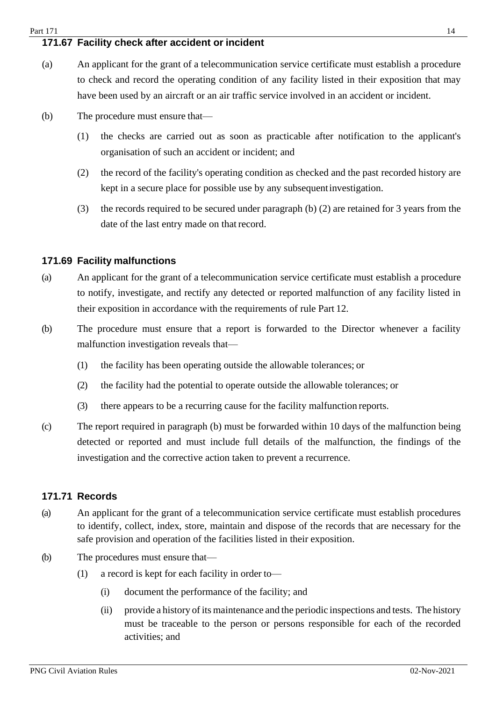## <span id="page-13-0"></span>**171.67 Facility check after accident or incident**

- (a) An applicant for the grant of a telecommunication service certificate must establish a procedure to check and record the operating condition of any facility listed in their exposition that may have been used by an aircraft or an air traffic service involved in an accident or incident.
- (b) The procedure must ensure that—
	- (1) the checks are carried out as soon as practicable after notification to the applicant's organisation of such an accident or incident; and
	- (2) the record of the facility's operating condition as checked and the past recorded history are kept in a secure place for possible use by any subsequentinvestigation.
	- (3) the records required to be secured under paragraph (b) (2) are retained for 3 years from the date of the last entry made on that record.

#### <span id="page-13-1"></span>**171.69 Facility malfunctions**

- (a) An applicant for the grant of a telecommunication service certificate must establish a procedure to notify, investigate, and rectify any detected or reported malfunction of any facility listed in their exposition in accordance with the requirements of rule Part 12.
- (b) The procedure must ensure that a report is forwarded to the Director whenever a facility malfunction investigation reveals that—
	- (1) the facility has been operating outside the allowable tolerances; or
	- (2) the facility had the potential to operate outside the allowable tolerances; or
	- (3) there appears to be a recurring cause for the facility malfunction reports.
- (c) The report required in paragraph (b) must be forwarded within 10 days of the malfunction being detected or reported and must include full details of the malfunction, the findings of the investigation and the corrective action taken to prevent a recurrence.

#### <span id="page-13-2"></span>**171.71 Records**

- (a) An applicant for the grant of a telecommunication service certificate must establish procedures to identify, collect, index, store, maintain and dispose of the records that are necessary for the safe provision and operation of the facilities listed in their exposition.
- (b) The procedures must ensure that—
	- (1) a record is kept for each facility in order to—
		- (i) document the performance of the facility; and
		- (ii) provide a history of its maintenance and the periodic inspections and tests. The history must be traceable to the person or persons responsible for each of the recorded activities; and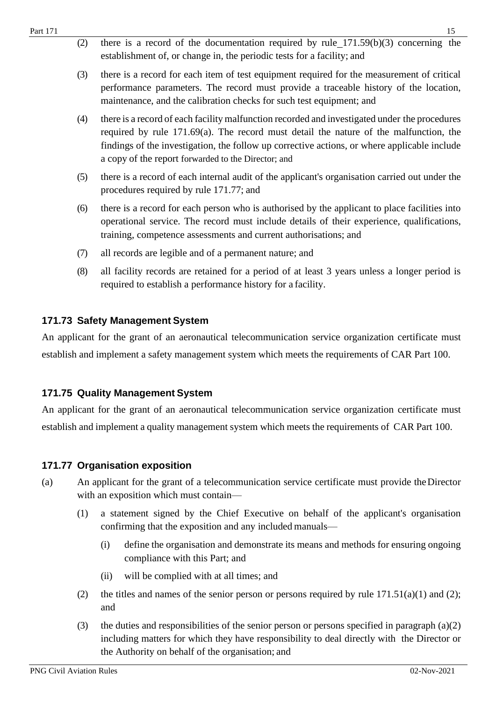| Part 171 |     | 15                                                                                                                                                                                                                                                                                                                                            |
|----------|-----|-----------------------------------------------------------------------------------------------------------------------------------------------------------------------------------------------------------------------------------------------------------------------------------------------------------------------------------------------|
|          | (2) | there is a record of the documentation required by rule $171.59(b)(3)$ concerning the<br>establishment of, or change in, the periodic tests for a facility; and                                                                                                                                                                               |
|          | (3) | there is a record for each item of test equipment required for the measurement of critical<br>performance parameters. The record must provide a traceable history of the location,<br>maintenance, and the calibration checks for such test equipment; and                                                                                    |
|          | (4) | there is a record of each facility malfunction recorded and investigated under the procedures<br>required by rule 171.69(a). The record must detail the nature of the malfunction, the<br>findings of the investigation, the follow up corrective actions, or where applicable include<br>a copy of the report forwarded to the Director; and |
|          | (5) | there is a record of each internal audit of the applicant's organisation carried out under the<br>procedures required by rule 171.77; and                                                                                                                                                                                                     |
|          | (6) | there is a record for each person who is authorised by the applicant to place facilities into<br>operational service. The record must include details of their experience, qualifications,<br>training, competence assessments and current authorisations; and                                                                                |
|          | (7) | all records are legible and of a permanent nature; and                                                                                                                                                                                                                                                                                        |
|          | (8) | all facility records are retained for a period of at least 3 years unless a longer period is<br>required to establish a performance history for a facility.                                                                                                                                                                                   |
|          |     | 171.73 Safety Management System                                                                                                                                                                                                                                                                                                               |
|          |     | An applicant for the grant of an aeronautical telecommunication service organization certificate must                                                                                                                                                                                                                                         |
|          |     | establish and implement a safety management system which meets the requirements of CAR Part 100.                                                                                                                                                                                                                                              |

#### <span id="page-14-1"></span><span id="page-14-0"></span>**171.75 Quality Management System**

An applicant for the grant of an aeronautical telecommunication service organization certificate must establish and implement a quality management system which meets the requirements of CAR Part 100.

#### <span id="page-14-2"></span>**171.77 Organisation exposition**

- (a) An applicant for the grant of a telecommunication service certificate must provide theDirector with an exposition which must contain—
	- (1) a statement signed by the Chief Executive on behalf of the applicant's organisation confirming that the exposition and any included manuals—
		- (i) define the organisation and demonstrate its means and methods for ensuring ongoing compliance with this Part; and
		- (ii) will be complied with at all times; and
	- (2) the titles and names of the senior person or persons required by rule  $171.51(a)(1)$  and (2); and
	- (3) the duties and responsibilities of the senior person or persons specified in paragraph (a)(2) including matters for which they have responsibility to deal directly with the Director or the Authority on behalf of the organisation; and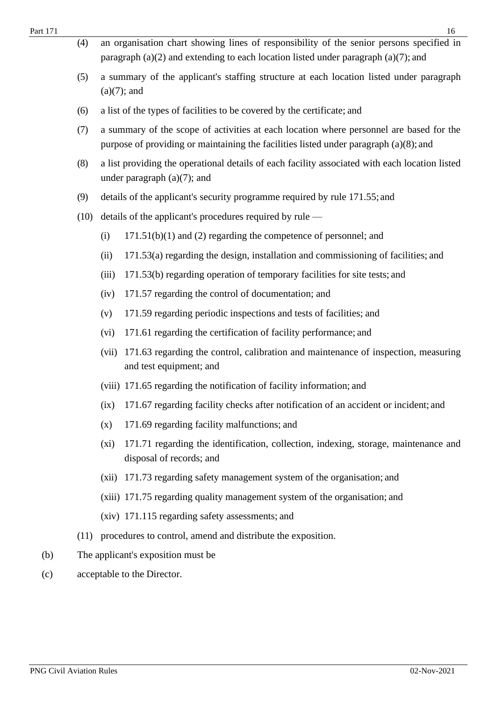| Part 171 |      |                | 16                                                                                                                                                                                  |
|----------|------|----------------|-------------------------------------------------------------------------------------------------------------------------------------------------------------------------------------|
|          | (4)  |                | an organisation chart showing lines of responsibility of the senior persons specified in<br>paragraph $(a)(2)$ and extending to each location listed under paragraph $(a)(7)$ ; and |
|          | (5)  | $(a)(7)$ ; and | a summary of the applicant's staffing structure at each location listed under paragraph                                                                                             |
|          | (6)  |                | a list of the types of facilities to be covered by the certificate; and                                                                                                             |
|          | (7)  |                | a summary of the scope of activities at each location where personnel are based for the<br>purpose of providing or maintaining the facilities listed under paragraph $(a)(8)$ ; and |
|          | (8)  |                | a list providing the operational details of each facility associated with each location listed<br>under paragraph $(a)(7)$ ; and                                                    |
|          | (9)  |                | details of the applicant's security programme required by rule 171.55; and                                                                                                          |
|          | (10) |                | details of the applicant's procedures required by rule —                                                                                                                            |
|          |      | (i)            | $171.51(b)(1)$ and (2) regarding the competence of personnel; and                                                                                                                   |
|          |      | (ii)           | 171.53(a) regarding the design, installation and commissioning of facilities; and                                                                                                   |
|          |      | (iii)          | 171.53(b) regarding operation of temporary facilities for site tests; and                                                                                                           |
|          |      | (iv)           | 171.57 regarding the control of documentation; and                                                                                                                                  |
|          |      | (v)            | 171.59 regarding periodic inspections and tests of facilities; and                                                                                                                  |
|          |      | (vi)           | 171.61 regarding the certification of facility performance; and                                                                                                                     |
|          |      | (vii)          | 171.63 regarding the control, calibration and maintenance of inspection, measuring<br>and test equipment; and                                                                       |
|          |      |                | (viii) 171.65 regarding the notification of facility information; and                                                                                                               |
|          |      | (ix)           | 171.67 regarding facility checks after notification of an accident or incident; and                                                                                                 |
|          |      | (x)            | 171.69 regarding facility malfunctions; and                                                                                                                                         |
|          |      | (xi)           | 171.71 regarding the identification, collection, indexing, storage, maintenance and<br>disposal of records; and                                                                     |
|          |      | (xii)          | 171.73 regarding safety management system of the organisation; and                                                                                                                  |
|          |      |                | (xiii) 171.75 regarding quality management system of the organisation; and                                                                                                          |
|          |      |                | (xiv) 171.115 regarding safety assessments; and                                                                                                                                     |
|          | (11) |                | procedures to control, amend and distribute the exposition.                                                                                                                         |
| (b)      |      |                | The applicant's exposition must be                                                                                                                                                  |
| (c)      |      |                | acceptable to the Director.                                                                                                                                                         |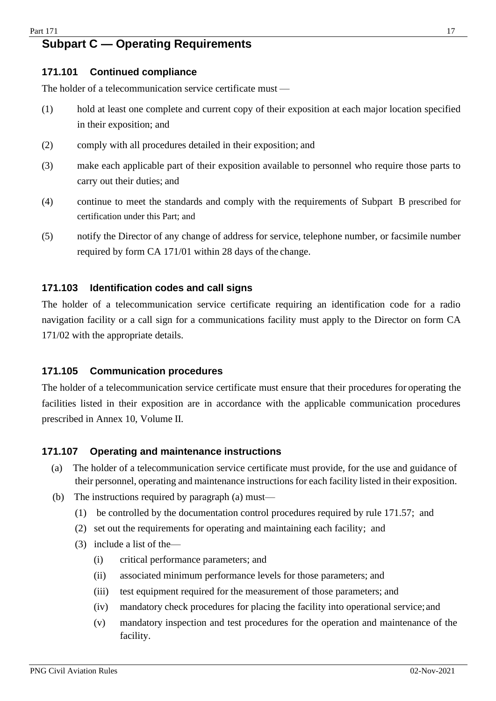## <span id="page-16-0"></span>**Subpart C — Operating Requirements**

#### <span id="page-16-1"></span>**171.101 Continued compliance**

The holder of a telecommunication service certificate must —

- (1) hold at least one complete and current copy of their exposition at each major location specified in their exposition; and
- (2) comply with all procedures detailed in their exposition; and
- (3) make each applicable part of their exposition available to personnel who require those parts to carry out their duties; and
- (4) continue to meet the standards and comply with the requirements of Subpart B prescribed for certification under this Part; and
- (5) notify the Director of any change of address for service, telephone number, or facsimile number required by form CA 171/01 within 28 days of the change.

#### <span id="page-16-2"></span>**171.103 Identification codes and call signs**

The holder of a telecommunication service certificate requiring an identification code for a radio navigation facility or a call sign for a communications facility must apply to the Director on form CA 171/02 with the appropriate details.

#### <span id="page-16-3"></span>**171.105 Communication procedures**

The holder of a telecommunication service certificate must ensure that their procedures for operating the facilities listed in their exposition are in accordance with the applicable communication procedures prescribed in Annex 10, Volume II.

#### <span id="page-16-4"></span>**171.107 Operating and maintenance instructions**

- (a) The holder of a telecommunication service certificate must provide, for the use and guidance of their personnel, operating and maintenance instructionsfor each facility listed in their exposition.
- <span id="page-16-5"></span>(b) The instructions required by paragraph (a) must—
	- (1) be controlled by the documentation control procedures required by rule 171.57; and
	- (2) set out the requirements for operating and maintaining each facility; and
	- (3) include a list of the—
		- (i) critical performance parameters; and
		- (ii) associated minimum performance levels for those parameters; and
		- (iii) test equipment required for the measurement of those parameters; and
		- (iv) mandatory check procedures for placing the facility into operational service;and
		- (v) mandatory inspection and test procedures for the operation and maintenance of the facility.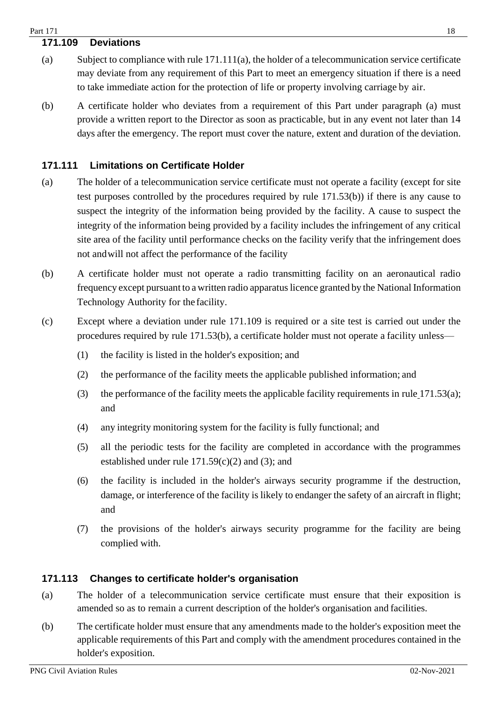#### $Part 171$  18

#### **171.109 Deviations**

- (a) Subject to compliance with rule 171.111(a), the holder of a telecommunication service certificate may deviate from any requirement of this Part to meet an emergency situation if there is a need to take immediate action for the protection of life or property involving carriage by air.
- (b) A certificate holder who deviates from a requirement of this Part under paragraph (a) must provide a written report to the Director as soon as practicable, but in any event not later than 14 days after the emergency. The report must cover the nature, extent and duration of the deviation.

#### <span id="page-17-0"></span>**171.111 Limitations on Certificate Holder**

- (a) The holder of a telecommunication service certificate must not operate a facility (except for site test purposes controlled by the procedures required by rule 171.53(b)) if there is any cause to suspect the integrity of the information being provided by the facility. A cause to suspect the integrity of the information being provided by a facility includes the infringement of any critical site area of the facility until performance checks on the facility verify that the infringement does not andwill not affect the performance of the facility
- (b) A certificate holder must not operate a radio transmitting facility on an aeronautical radio frequency except pursuant to a written radio apparatuslicence granted by the National Information Technology Authority for the facility.
- (c) Except where a deviation under rule 171.109 is required or a site test is carried out under the procedures required by rule 171.53(b), a certificate holder must not operate a facility unless—
	- (1) the facility is listed in the holder's exposition; and
	- (2) the performance of the facility meets the applicable published information; and
	- (3) the performance of the facility meets the applicable facility requirements in rule 171.53(a); and
	- (4) any integrity monitoring system for the facility is fully functional; and
	- (5) all the periodic tests for the facility are completed in accordance with the programmes established under rule  $171.59(c)(2)$  and (3); and
	- (6) the facility is included in the holder's airways security programme if the destruction, damage, or interference of the facility is likely to endanger the safety of an aircraft in flight; and
	- (7) the provisions of the holder's airways security programme for the facility are being complied with.

#### <span id="page-17-1"></span>**171.113 Changes to certificate holder's organisation**

- (a) The holder of a telecommunication service certificate must ensure that their exposition is amended so as to remain a current description of the holder's organisation and facilities.
- (b) The certificate holder must ensure that any amendments made to the holder's exposition meet the applicable requirements of this Part and comply with the amendment procedures contained in the holder's exposition.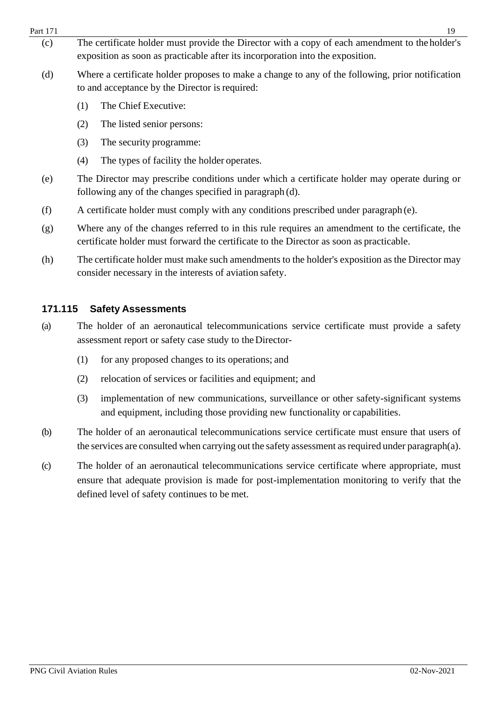- $Part 171$  19 (c) The certificate holder must provide the Director with a copy of each amendment to the holder's exposition as soon as practicable after its incorporation into the exposition.
	- (d) Where a certificate holder proposes to make a change to any of the following, prior notification to and acceptance by the Director is required:
		- (1) The Chief Executive:
		- (2) The listed senior persons:
		- (3) The security programme:
		- (4) The types of facility the holder operates.
	- (e) The Director may prescribe conditions under which a certificate holder may operate during or following any of the changes specified in paragraph (d).
	- (f) A certificate holder must comply with any conditions prescribed under paragraph (e).
	- (g) Where any of the changes referred to in this rule requires an amendment to the certificate, the certificate holder must forward the certificate to the Director as soon as practicable.
	- (h) The certificate holder must make such amendments to the holder's exposition as the Director may consider necessary in the interests of aviation safety.

## <span id="page-18-0"></span>**171.115 Safety Assessments**

- (a) The holder of an aeronautical telecommunications service certificate must provide a safety assessment report or safety case study to theDirector-
	- (1) for any proposed changes to its operations; and
	- (2) relocation of services or facilities and equipment; and
	- (3) implementation of new communications, surveillance or other safety-significant systems and equipment, including those providing new functionality or capabilities.
- (b) The holder of an aeronautical telecommunications service certificate must ensure that users of the services are consulted when carrying out the safety assessment as required under paragraph(a).
- (c) The holder of an aeronautical telecommunications service certificate where appropriate, must ensure that adequate provision is made for post-implementation monitoring to verify that the defined level of safety continues to be met.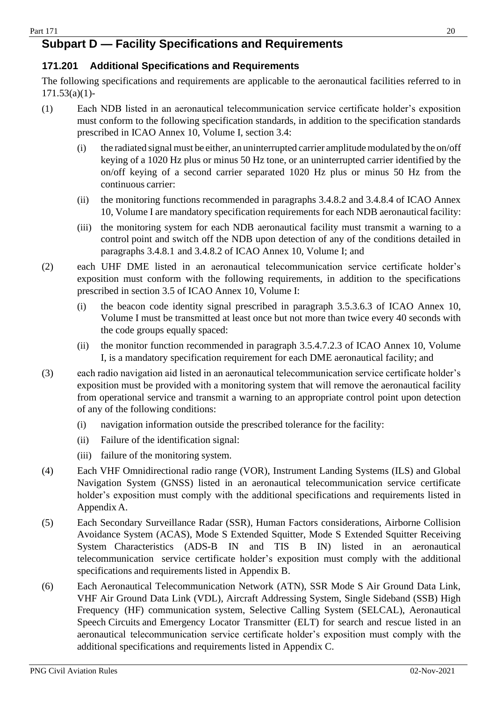## <span id="page-19-0"></span>**Subpart D — Facility Specifications and Requirements**

#### <span id="page-19-1"></span>**171.201 Additional Specifications and Requirements**

The following specifications and requirements are applicable to the aeronautical facilities referred to in 171.53(a)(1)-

- (1) Each NDB listed in an aeronautical telecommunication service certificate holder's exposition must conform to the following specification standards, in addition to the specification standards prescribed in ICAO Annex 10, Volume I, section 3.4:
	- $(i)$  the radiated signal must be either, an uninterrupted carrier amplitude modulated by the on/off keying of a 1020 Hz plus or minus 50 Hz tone, or an uninterrupted carrier identified by the on/off keying of a second carrier separated 1020 Hz plus or minus 50 Hz from the continuous carrier:
	- (ii) the monitoring functions recommended in paragraphs 3.4.8.2 and 3.4.8.4 of ICAO Annex 10, Volume I are mandatory specification requirements for each NDB aeronauticalfacility:
	- (iii) the monitoring system for each NDB aeronautical facility must transmit a warning to a control point and switch off the NDB upon detection of any of the conditions detailed in paragraphs 3.4.8.1 and 3.4.8.2 of ICAO Annex 10, Volume I; and
- (2) each UHF DME listed in an aeronautical telecommunication service certificate holder's exposition must conform with the following requirements, in addition to the specifications prescribed in section 3.5 of ICAO Annex 10, Volume I:
	- (i) the beacon code identity signal prescribed in paragraph 3.5.3.6.3 of ICAO Annex 10, Volume I must be transmitted at least once but not more than twice every 40 seconds with the code groups equally spaced:
	- (ii) the monitor function recommended in paragraph 3.5.4.7.2.3 of ICAO Annex 10, Volume I, is a mandatory specification requirement for each DME aeronautical facility; and
- (3) each radio navigation aid listed in an aeronautical telecommunication service certificate holder's exposition must be provided with a monitoring system that will remove the aeronautical facility from operational service and transmit a warning to an appropriate control point upon detection of any of the following conditions:
	- (i) navigation information outside the prescribed tolerance for the facility:
	- (ii) Failure of the identification signal:
	- (iii) failure of the monitoring system.
- (4) Each VHF Omnidirectional radio range (VOR), Instrument Landing Systems (ILS) and Global Navigation System (GNSS) listed in an aeronautical telecommunication service certificate holder's exposition must comply with the additional specifications and requirements listed in Appendix A.
- (5) Each Secondary Surveillance Radar (SSR), Human Factors considerations, Airborne Collision Avoidance System (ACAS), Mode S Extended Squitter, Mode S Extended Squitter Receiving System Characteristics (ADS-B IN and TIS B IN) listed in an aeronautical telecommunication service certificate holder's exposition must comply with the additional specifications and requirements listed in Appendix B.
- (6) Each Aeronautical Telecommunication Network (ATN), SSR Mode S Air Ground Data Link, VHF Air Ground Data Link (VDL), Aircraft Addressing System, Single Sideband (SSB) High Frequency (HF) communication system, Selective Calling System (SELCAL), Aeronautical Speech Circuits and Emergency Locator Transmitter (ELT) for search and rescue listed in an aeronautical telecommunication service certificate holder's exposition must comply with the additional specifications and requirements listed in Appendix C.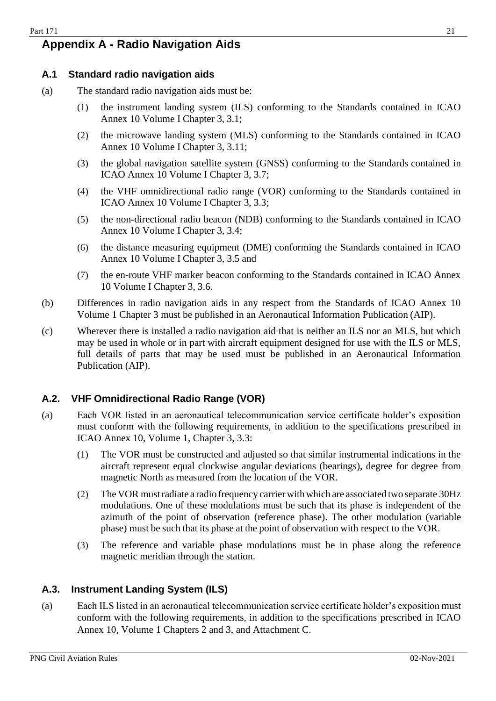## <span id="page-20-0"></span>**Appendix A - Radio Navigation Aids**

#### <span id="page-20-1"></span>**A.1 Standard radio navigation aids**

- (a) The standard radio navigation aids must be:
	- (1) the instrument landing system (ILS) conforming to the Standards contained in ICAO Annex 10 Volume I Chapter 3, 3.1;
	- (2) the microwave landing system (MLS) conforming to the Standards contained in ICAO Annex 10 Volume I Chapter 3, 3.11;
	- (3) the global navigation satellite system (GNSS) conforming to the Standards contained in ICAO Annex 10 Volume I Chapter 3, 3.7;
	- (4) the VHF omnidirectional radio range (VOR) conforming to the Standards contained in ICAO Annex 10 Volume I Chapter 3, 3.3;
	- (5) the non-directional radio beacon (NDB) conforming to the Standards contained in ICAO Annex 10 Volume I Chapter 3, 3.4;
	- (6) the distance measuring equipment (DME) conforming the Standards contained in ICAO Annex 10 Volume I Chapter 3, 3.5 and
	- (7) the en-route VHF marker beacon conforming to the Standards contained in ICAO Annex 10 Volume I Chapter 3, 3.6.
- (b) Differences in radio navigation aids in any respect from the Standards of ICAO Annex 10 Volume 1 Chapter 3 must be published in an Aeronautical Information Publication (AIP).
- (c) Wherever there is installed a radio navigation aid that is neither an ILS nor an MLS, but which may be used in whole or in part with aircraft equipment designed for use with the ILS or MLS, full details of parts that may be used must be published in an Aeronautical Information Publication (AIP).

#### <span id="page-20-2"></span>**A.2. VHF Omnidirectional Radio Range (VOR)**

- (a) Each VOR listed in an aeronautical telecommunication service certificate holder's exposition must conform with the following requirements, in addition to the specifications prescribed in ICAO Annex 10, Volume 1, Chapter 3, 3.3:
	- (1) The VOR must be constructed and adjusted so that similar instrumental indications in the aircraft represent equal clockwise angular deviations (bearings), degree for degree from magnetic North as measured from the location of the VOR.
	- (2) TheVOR mustradiate a radio frequency carrier withwhich are associated two separate 30Hz modulations. One of these modulations must be such that its phase is independent of the azimuth of the point of observation (reference phase). The other modulation (variable phase) must be such that its phase at the point of observation with respect to the VOR.
	- (3) The reference and variable phase modulations must be in phase along the reference magnetic meridian through the station.

#### <span id="page-20-3"></span>**A.3. Instrument Landing System (ILS)**

(a) Each ILS listed in an aeronautical telecommunication service certificate holder's exposition must conform with the following requirements, in addition to the specifications prescribed in ICAO Annex 10, Volume 1 Chapters 2 and 3, and Attachment C.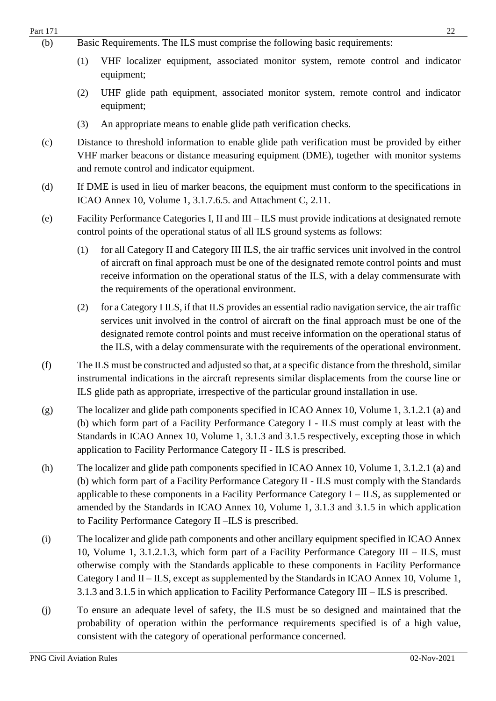|     | PNG Civil Aviation Rules                                                                                                                                                                                                                                                                                                                                                                                                                                                                     | 02-Nov-2021 |  |  |
|-----|----------------------------------------------------------------------------------------------------------------------------------------------------------------------------------------------------------------------------------------------------------------------------------------------------------------------------------------------------------------------------------------------------------------------------------------------------------------------------------------------|-------------|--|--|
| (j) | To ensure an adequate level of safety, the ILS must be so designed and maintained that the<br>probability of operation within the performance requirements specified is of a high value,<br>consistent with the category of operational performance concerned.                                                                                                                                                                                                                               |             |  |  |
| (i) | The localizer and glide path components and other ancillary equipment specified in ICAO Annex<br>10, Volume 1, 3.1.2.1.3, which form part of a Facility Performance Category III - ILS, must<br>otherwise comply with the Standards applicable to these components in Facility Performance<br>Category I and II – ILS, except as supplemented by the Standards in ICAO Annex 10, Volume 1,<br>3.1.3 and 3.1.5 in which application to Facility Performance Category III – ILS is prescribed. |             |  |  |
| (h) | The localizer and glide path components specified in ICAO Annex 10, Volume 1, 3.1.2.1 (a) and<br>(b) which form part of a Facility Performance Category II - ILS must comply with the Standards<br>applicable to these components in a Facility Performance Category $I - ILS$ , as supplemented or<br>amended by the Standards in ICAO Annex 10, Volume 1, 3.1.3 and 3.1.5 in which application<br>to Facility Performance Category II -ILS is prescribed.                                  |             |  |  |
| (g) | The localizer and glide path components specified in ICAO Annex 10, Volume 1, 3.1.2.1 (a) and<br>(b) which form part of a Facility Performance Category I - ILS must comply at least with the<br>Standards in ICAO Annex 10, Volume 1, 3.1.3 and 3.1.5 respectively, excepting those in which<br>application to Facility Performance Category II - ILS is prescribed.                                                                                                                        |             |  |  |
| (f) | The ILS must be constructed and adjusted so that, at a specific distance from the threshold, similar<br>instrumental indications in the aircraft represents similar displacements from the course line or<br>ILS glide path as appropriate, irrespective of the particular ground installation in use.                                                                                                                                                                                       |             |  |  |
|     | for a Category I ILS, if that ILS provides an essential radio navigation service, the air traffic<br>(2)<br>services unit involved in the control of aircraft on the final approach must be one of the<br>designated remote control points and must receive information on the operational status of<br>the ILS, with a delay commensurate with the requirements of the operational environment.                                                                                             |             |  |  |
|     | for all Category II and Category III ILS, the air traffic services unit involved in the control<br>(1)<br>of aircraft on final approach must be one of the designated remote control points and must<br>receive information on the operational status of the ILS, with a delay commensurate with<br>the requirements of the operational environment.                                                                                                                                         |             |  |  |
| (e) | Facility Performance Categories I, II and III – ILS must provide indications at designated remote<br>control points of the operational status of all ILS ground systems as follows:                                                                                                                                                                                                                                                                                                          |             |  |  |
| (d) | If DME is used in lieu of marker beacons, the equipment must conform to the specifications in<br>ICAO Annex 10, Volume 1, 3.1.7.6.5. and Attachment C, 2.11.                                                                                                                                                                                                                                                                                                                                 |             |  |  |
| (c) | Distance to threshold information to enable glide path verification must be provided by either<br>VHF marker beacons or distance measuring equipment (DME), together with monitor systems<br>and remote control and indicator equipment.                                                                                                                                                                                                                                                     |             |  |  |
|     | An appropriate means to enable glide path verification checks.<br>(3)                                                                                                                                                                                                                                                                                                                                                                                                                        |             |  |  |
|     | UHF glide path equipment, associated monitor system, remote control and indicator<br>(2)<br>equipment;                                                                                                                                                                                                                                                                                                                                                                                       |             |  |  |
|     | VHF localizer equipment, associated monitor system, remote control and indicator<br>(1)<br>equipment;                                                                                                                                                                                                                                                                                                                                                                                        |             |  |  |
| (b) | Basic Requirements. The ILS must comprise the following basic requirements:                                                                                                                                                                                                                                                                                                                                                                                                                  |             |  |  |

Part 171 22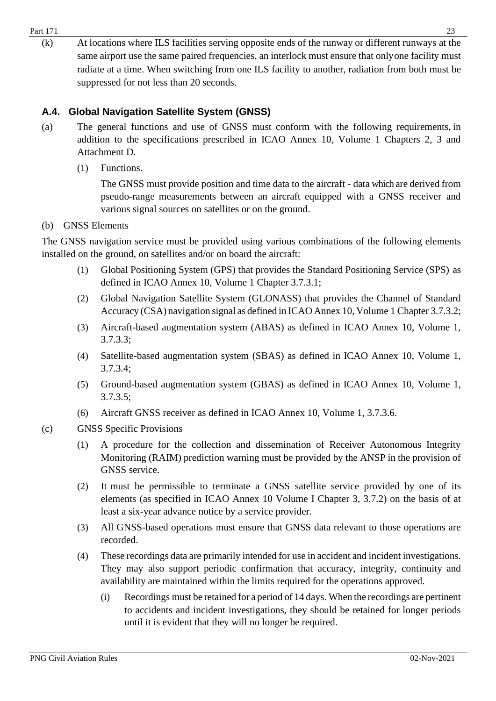- $Part 171$  23
	- (k) At locations where ILS facilities serving opposite ends of the runway or different runways at the same airport use the same paired frequencies, an interlock must ensure that onlyone facility must radiate at a time. When switching from one ILS facility to another, radiation from both must be suppressed for not less than 20 seconds.

## <span id="page-22-0"></span>**A.4. Global Navigation Satellite System (GNSS)**

- (a) The general functions and use of GNSS must conform with the following requirements, in addition to the specifications prescribed in ICAO Annex 10, Volume 1 Chapters 2, 3 and Attachment D.
	- (1) Functions.

The GNSS must provide position and time data to the aircraft - data which are derived from pseudo-range measurements between an aircraft equipped with a GNSS receiver and various signal sources on satellites or on the ground.

#### (b) GNSS Elements

The GNSS navigation service must be provided using various combinations of the following elements installed on the ground, on satellites and/or on board the aircraft:

- (1) Global Positioning System (GPS) that provides the Standard Positioning Service (SPS) as defined in ICAO Annex 10, Volume 1 Chapter 3.7.3.1;
- (2) Global Navigation Satellite System (GLONASS) that provides the Channel of Standard Accuracy (CSA) navigation signal as defined in ICAO Annex 10, Volume 1 Chapter 3.7.3.2;
- (3) Aircraft-based augmentation system (ABAS) as defined in ICAO Annex 10, Volume 1, 3.7.3.3;
- (4) Satellite-based augmentation system (SBAS) as defined in ICAO Annex 10, Volume 1, 3.7.3.4;
- (5) Ground-based augmentation system (GBAS) as defined in ICAO Annex 10, Volume 1, 3.7.3.5;
- (6) Aircraft GNSS receiver as defined in ICAO Annex 10, Volume 1, 3.7.3.6.
- (c) GNSS Specific Provisions
	- (1) A procedure for the collection and dissemination of Receiver Autonomous Integrity Monitoring (RAIM) prediction warning must be provided by the ANSP in the provision of GNSS service.
	- (2) It must be permissible to terminate a GNSS satellite service provided by one of its elements (as specified in ICAO Annex 10 Volume I Chapter 3, 3.7.2) on the basis of at least a six-year advance notice by a service provider.
	- (3) All GNSS-based operations must ensure that GNSS data relevant to those operations are recorded.
	- (4) These recordings data are primarily intended for use in accident and incident investigations. They may also support periodic confirmation that accuracy, integrity, continuity and availability are maintained within the limits required for the operations approved.
		- (i) Recordings must be retained for a period of 14 days. When the recordings are pertinent to accidents and incident investigations, they should be retained for longer periods until it is evident that they will no longer be required.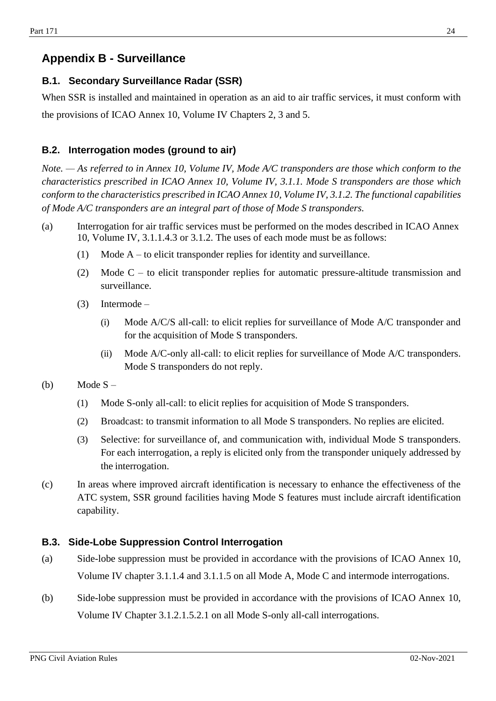## <span id="page-23-0"></span>**Appendix B - Surveillance**

#### <span id="page-23-1"></span>**B.1. Secondary Surveillance Radar (SSR)**

When SSR is installed and maintained in operation as an aid to air traffic services, it must conform with the provisions of ICAO Annex 10, Volume IV Chapters 2, 3 and 5.

#### <span id="page-23-2"></span>**B.2. Interrogation modes (ground to air)**

*Note. — As referred to in Annex 10, Volume IV, Mode A/C transponders are those which conform to the characteristics prescribed in ICAO Annex 10, Volume IV, 3.1.1. Mode S transponders are those which conform to the characteristics prescribed in ICAO Annex 10, Volume IV, 3.1.2. The functional capabilities of Mode A/C transponders are an integral part of those of Mode S transponders.*

- (a) Interrogation for air traffic services must be performed on the modes described in ICAO Annex 10, Volume IV, 3.1.1.4.3 or 3.1.2. The uses of each mode must be as follows:
	- (1) Mode A to elicit transponder replies for identity and surveillance.
	- (2) Mode C to elicit transponder replies for automatic pressure-altitude transmission and surveillance.
	- (3) Intermode
		- (i) Mode A/C/S all-call: to elicit replies for surveillance of Mode A/C transponder and for the acquisition of Mode S transponders.
		- (ii) Mode A/C-only all-call: to elicit replies for surveillance of Mode A/C transponders. Mode S transponders do not reply.
- (b) Mode  $S -$ 
	- (1) Mode S-only all-call: to elicit replies for acquisition of Mode S transponders.
	- (2) Broadcast: to transmit information to all Mode S transponders. No replies are elicited.
	- (3) Selective: for surveillance of, and communication with, individual Mode S transponders. For each interrogation, a reply is elicited only from the transponder uniquely addressed by the interrogation.
- (c) In areas where improved aircraft identification is necessary to enhance the effectiveness of the ATC system, SSR ground facilities having Mode S features must include aircraft identification capability.

#### <span id="page-23-3"></span>**B.3. Side-Lobe Suppression Control Interrogation**

- (a) Side-lobe suppression must be provided in accordance with the provisions of ICAO Annex 10, Volume IV chapter 3.1.1.4 and 3.1.1.5 on all Mode A, Mode C and intermode interrogations.
- (b) Side-lobe suppression must be provided in accordance with the provisions of ICAO Annex 10, Volume IV Chapter 3.1.2.1.5.2.1 on all Mode S-only all-call interrogations.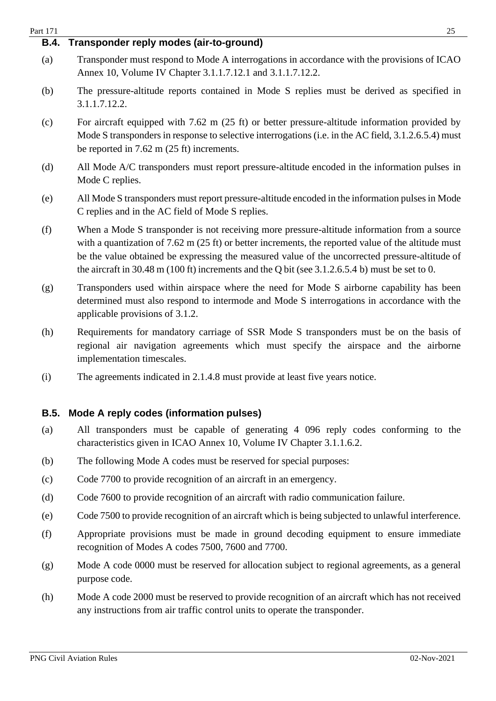<span id="page-24-1"></span><span id="page-24-0"></span>

| Part 171    | 25                                                                                                                                                                                                                                                                                                                                                                                                             |
|-------------|----------------------------------------------------------------------------------------------------------------------------------------------------------------------------------------------------------------------------------------------------------------------------------------------------------------------------------------------------------------------------------------------------------------|
| <b>B.4.</b> | Transponder reply modes (air-to-ground)                                                                                                                                                                                                                                                                                                                                                                        |
| (a)         | Transponder must respond to Mode A interrogations in accordance with the provisions of ICAO<br>Annex 10, Volume IV Chapter 3.1.1.7.12.1 and 3.1.1.7.12.2.                                                                                                                                                                                                                                                      |
| (b)         | The pressure-altitude reports contained in Mode S replies must be derived as specified in<br>3.1.1.7.12.2.                                                                                                                                                                                                                                                                                                     |
| (c)         | For aircraft equipped with 7.62 m $(25 \text{ ft})$ or better pressure-altitude information provided by<br>Mode S transponders in response to selective interrogations (i.e. in the AC field, 3.1.2.6.5.4) must<br>be reported in $7.62$ m $(25 \text{ ft})$ increments.                                                                                                                                       |
| (d)         | All Mode A/C transponders must report pressure-altitude encoded in the information pulses in<br>Mode C replies.                                                                                                                                                                                                                                                                                                |
| (e)         | All Mode S transponders must report pressure-altitude encoded in the information pulses in Mode<br>C replies and in the AC field of Mode S replies.                                                                                                                                                                                                                                                            |
| (f)         | When a Mode S transponder is not receiving more pressure-altitude information from a source<br>with a quantization of $7.62$ m ( $25$ ft) or better increments, the reported value of the altitude must<br>be the value obtained be expressing the measured value of the uncorrected pressure-altitude of<br>the aircraft in 30.48 m (100 ft) increments and the Q bit (see $3.1.2.6.5.4$ b) must be set to 0. |
| (g)         | Transponders used within airspace where the need for Mode S airborne capability has been<br>determined must also respond to intermode and Mode S interrogations in accordance with the<br>applicable provisions of 3.1.2.                                                                                                                                                                                      |
| (h)         | Requirements for mandatory carriage of SSR Mode S transponders must be on the basis of<br>regional air navigation agreements which must specify the airspace and the airborne<br>implementation timescales.                                                                                                                                                                                                    |
| (i)         | The agreements indicated in 2.1.4.8 must provide at least five years notice.                                                                                                                                                                                                                                                                                                                                   |
| <b>B.5.</b> | Mode A reply codes (information pulses)                                                                                                                                                                                                                                                                                                                                                                        |
| (a)         | All transponders must be capable of generating 4 096 reply codes conforming to the<br>characteristics given in ICAO Annex 10, Volume IV Chapter 3.1.1.6.2.                                                                                                                                                                                                                                                     |
| (b)         | The following Mode A codes must be reserved for special purposes:                                                                                                                                                                                                                                                                                                                                              |
| (c)         | Code 7700 to provide recognition of an aircraft in an emergency.                                                                                                                                                                                                                                                                                                                                               |
| (d)         | Code 7600 to provide recognition of an aircraft with radio communication failure.                                                                                                                                                                                                                                                                                                                              |
| (e)         | Code 7500 to provide recognition of an aircraft which is being subjected to unlawful interference.                                                                                                                                                                                                                                                                                                             |
| (f)         | Appropriate provisions must be made in ground decoding equipment to ensure immediate<br>recognition of Modes A codes 7500, 7600 and 7700.                                                                                                                                                                                                                                                                      |
| (g)         | Mode A code 0000 must be reserved for allocation subject to regional agreements, as a general<br>purpose code.                                                                                                                                                                                                                                                                                                 |
| (h)         | Mode A code 2000 must be reserved to provide recognition of an aircraft which has not received<br>any instructions from air traffic control units to operate the transponder.                                                                                                                                                                                                                                  |
|             |                                                                                                                                                                                                                                                                                                                                                                                                                |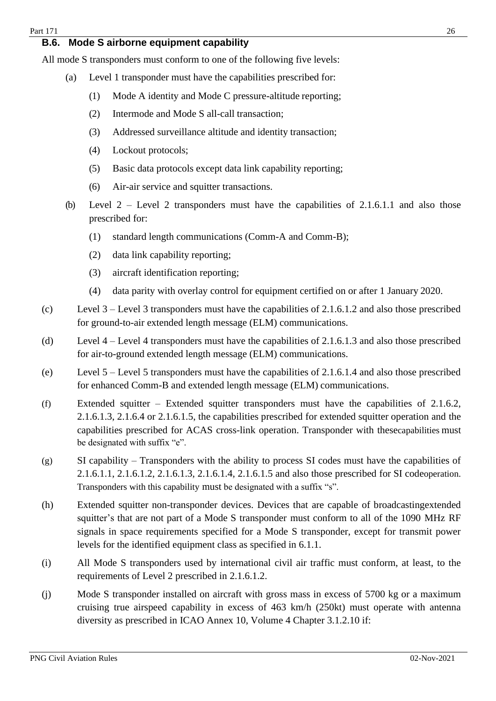#### <span id="page-25-0"></span>**B.6. Mode S airborne equipment capability**

All mode S transponders must conform to one of the following five levels:

- (a) Level 1 transponder must have the capabilities prescribed for:
	- (1) Mode A identity and Mode C pressure-altitude reporting;
	- (2) Intermode and Mode S all-call transaction;
	- (3) Addressed surveillance altitude and identity transaction;
	- (4) Lockout protocols;
	- (5) Basic data protocols except data link capability reporting;
	- (6) Air-air service and squitter transactions.
- (b) Level  $2$  Level 2 transponders must have the capabilities of 2.1.6.1.1 and also those prescribed for:
	- (1) standard length communications (Comm-A and Comm-B);
	- (2) data link capability reporting;
	- (3) aircraft identification reporting;
	- (4) data parity with overlay control for equipment certified on or after 1 January 2020.
- (c) Level 3 Level 3 transponders must have the capabilities of 2.1.6.1.2 and also those prescribed for ground-to-air extended length message (ELM) communications.
- (d) Level 4 Level 4 transponders must have the capabilities of 2.1.6.1.3 and also those prescribed for air-to-ground extended length message (ELM) communications.
- (e) Level 5 Level 5 transponders must have the capabilities of 2.1.6.1.4 and also those prescribed for enhanced Comm-B and extended length message (ELM) communications.
- (f) Extended squitter Extended squitter transponders must have the capabilities of 2.1.6.2, 2.1.6.1.3, 2.1.6.4 or 2.1.6.1.5, the capabilities prescribed for extended squitter operation and the capabilities prescribed for ACAS cross-link operation. Transponder with thesecapabilities must be designated with suffix "e".
- (g) SI capability Transponders with the ability to process SI codes must have the capabilities of 2.1.6.1.1, 2.1.6.1.2, 2.1.6.1.3, 2.1.6.1.4, 2.1.6.1.5 and also those prescribed for SI codeoperation. Transponders with this capability must be designated with a suffix "s".
- (h) Extended squitter non-transponder devices. Devices that are capable of broadcastingextended squitter's that are not part of a Mode S transponder must conform to all of the 1090 MHz RF signals in space requirements specified for a Mode S transponder, except for transmit power levels for the identified equipment class as specified in 6.1.1.
- (i) All Mode S transponders used by international civil air traffic must conform, at least, to the requirements of Level 2 prescribed in 2.1.6.1.2.
- (j) Mode S transponder installed on aircraft with gross mass in excess of 5700 kg or a maximum cruising true airspeed capability in excess of 463 km/h (250kt) must operate with antenna diversity as prescribed in ICAO Annex 10, Volume 4 Chapter 3.1.2.10 if: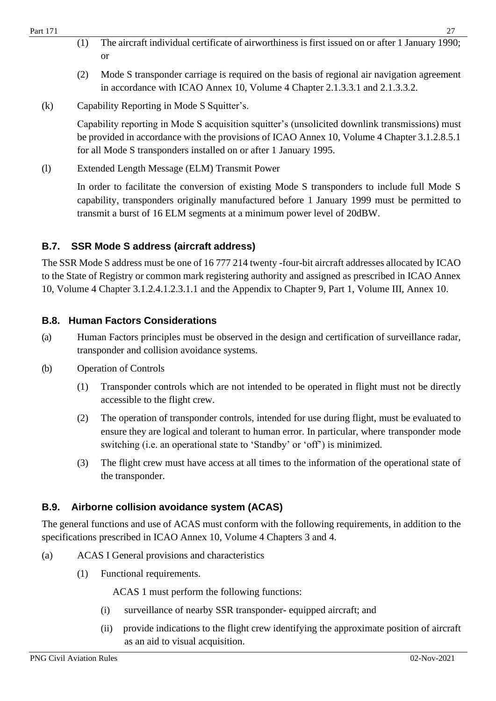- (1) The aircraft individual certificate of airworthiness is first issued on or after 1 January 1990; or
- (2) Mode S transponder carriage is required on the basis of regional air navigation agreement in accordance with ICAO Annex 10, Volume 4 Chapter 2.1.3.3.1 and 2.1.3.3.2.
- (k) Capability Reporting in Mode S Squitter's.

Capability reporting in Mode S acquisition squitter's (unsolicited downlink transmissions) must be provided in accordance with the provisions of ICAO Annex 10, Volume 4 Chapter 3.1.2.8.5.1 for all Mode S transponders installed on or after 1 January 1995.

(l) Extended Length Message (ELM) Transmit Power

In order to facilitate the conversion of existing Mode S transponders to include full Mode S capability, transponders originally manufactured before 1 January 1999 must be permitted to transmit a burst of 16 ELM segments at a minimum power level of 20dBW.

## <span id="page-26-0"></span>**B.7. SSR Mode S address (aircraft address)**

The SSR Mode S address must be one of 16 777 214 twenty -four-bit aircraft addresses allocated by ICAO to the State of Registry or common mark registering authority and assigned as prescribed in ICAO Annex 10, Volume 4 Chapter 3.1.2.4.1.2.3.1.1 and the Appendix to Chapter 9, Part 1, Volume III, Annex 10.

## <span id="page-26-1"></span>**B.8. Human Factors Considerations**

- (a) Human Factors principles must be observed in the design and certification of surveillance radar, transponder and collision avoidance systems.
- (b) Operation of Controls
	- (1) Transponder controls which are not intended to be operated in flight must not be directly accessible to the flight crew.
	- (2) The operation of transponder controls, intended for use during flight, must be evaluated to ensure they are logical and tolerant to human error. In particular, where transponder mode switching (i.e. an operational state to 'Standby' or 'off') is minimized.
	- (3) The flight crew must have access at all times to the information of the operational state of the transponder.

## **B.9. Airborne collision avoidance system (ACAS)**

The general functions and use of ACAS must conform with the following requirements, in addition to the specifications prescribed in ICAO Annex 10, Volume 4 Chapters 3 and 4.

- (a) ACAS I General provisions and characteristics
	- (1) Functional requirements.

ACAS 1 must perform the following functions:

- (i) surveillance of nearby SSR transponder- equipped aircraft; and
- (ii) provide indications to the flight crew identifying the approximate position of aircraft as an aid to visual acquisition.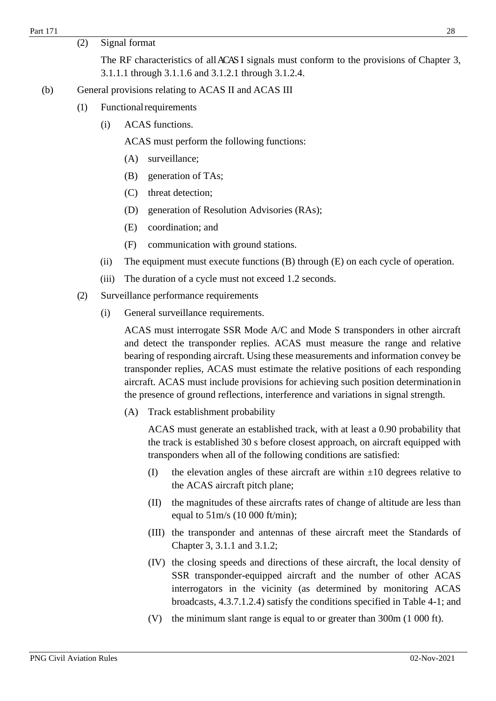(2) Signal format

The RF characteristics of all ACAS I signals must conform to the provisions of Chapter 3, 3.1.1.1 through 3.1.1.6 and 3.1.2.1 through 3.1.2.4.

- (b) General provisions relating to ACAS II and ACAS III
	- (1) Functionalrequirements
		- (i) ACAS functions.

ACAS must perform the following functions:

- (A) surveillance;
- (B) generation of TAs;
- (C) threat detection;
- (D) generation of Resolution Advisories (RAs);
- (E) coordination; and
- (F) communication with ground stations.
- (ii) The equipment must execute functions (B) through (E) on each cycle of operation.
- (iii) The duration of a cycle must not exceed 1.2 seconds.
- (2) Surveillance performance requirements
	- (i) General surveillance requirements.

ACAS must interrogate SSR Mode A/C and Mode S transponders in other aircraft and detect the transponder replies. ACAS must measure the range and relative bearing of responding aircraft. Using these measurements and information convey be transponder replies, ACAS must estimate the relative positions of each responding aircraft. ACAS must include provisions for achieving such position determinationin the presence of ground reflections, interference and variations in signal strength.

(A) Track establishment probability

ACAS must generate an established track, with at least a 0.90 probability that the track is established 30 s before closest approach, on aircraft equipped with transponders when all of the following conditions are satisfied:

- (I) the elevation angles of these aircraft are within  $\pm 10$  degrees relative to the ACAS aircraft pitch plane;
- (II) the magnitudes of these aircrafts rates of change of altitude are less than equal to 51m/s (10 000 ft/min);
- (III) the transponder and antennas of these aircraft meet the Standards of Chapter 3, 3.1.1 and 3.1.2;
- (IV) the closing speeds and directions of these aircraft, the local density of SSR transponder-equipped aircraft and the number of other ACAS interrogators in the vicinity (as determined by monitoring ACAS broadcasts, 4.3.7.1.2.4) satisfy the conditions specified in Table 4-1; and
- (V) the minimum slant range is equal to or greater than 300m (1 000 ft).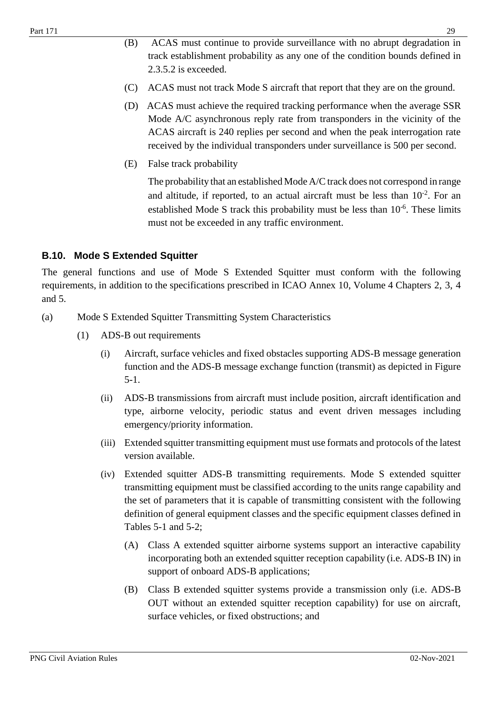- (B) ACAS must continue to provide surveillance with no abrupt degradation in track establishment probability as any one of the condition bounds defined in 2.3.5.2 is exceeded.
- (C) ACAS must not track Mode S aircraft that report that they are on the ground.
- (D) ACAS must achieve the required tracking performance when the average SSR Mode A/C asynchronous reply rate from transponders in the vicinity of the ACAS aircraft is 240 replies per second and when the peak interrogation rate received by the individual transponders under surveillance is 500 per second.
- (E) False track probability

The probability that an established Mode A/C track does not correspond in range and altitude, if reported, to an actual aircraft must be less than  $10^{-2}$ . For an established Mode S track this probability must be less than  $10^{-6}$ . These limits must not be exceeded in any traffic environment.

#### <span id="page-28-0"></span>**B.10. Mode S Extended Squitter**

The general functions and use of Mode S Extended Squitter must conform with the following requirements, in addition to the specifications prescribed in ICAO Annex 10, Volume 4 Chapters 2, 3, 4 and 5.

- (a) Mode S Extended Squitter Transmitting System Characteristics
	- (1) ADS-B out requirements
		- (i) Aircraft, surface vehicles and fixed obstacles supporting ADS-B message generation function and the ADS-B message exchange function (transmit) as depicted in Figure 5-1.
		- (ii) ADS-B transmissions from aircraft must include position, aircraft identification and type, airborne velocity, periodic status and event driven messages including emergency/priority information.
		- (iii) Extended squitter transmitting equipment must use formats and protocols of the latest version available.
		- (iv) Extended squitter ADS-B transmitting requirements. Mode S extended squitter transmitting equipment must be classified according to the units range capability and the set of parameters that it is capable of transmitting consistent with the following definition of general equipment classes and the specific equipment classes defined in Tables 5-1 and 5-2;
			- (A) Class A extended squitter airborne systems support an interactive capability incorporating both an extended squitter reception capability (i.e. ADS-B IN) in support of onboard ADS-B applications;
			- (B) Class B extended squitter systems provide a transmission only (i.e. ADS-B OUT without an extended squitter reception capability) for use on aircraft, surface vehicles, or fixed obstructions; and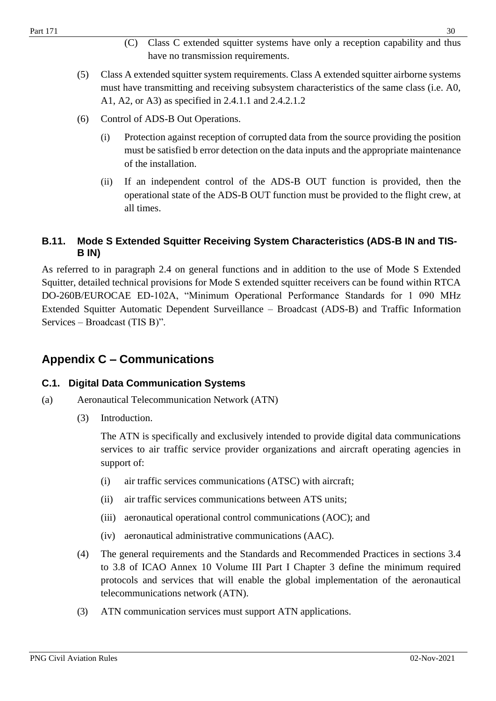- (C) Class C extended squitter systems have only a reception capability and thus have no transmission requirements.
- (5) Class A extended squitter system requirements. Class A extended squitter airborne systems must have transmitting and receiving subsystem characteristics of the same class (i.e. A0, A1, A2, or A3) as specified in 2.4.1.1 and 2.4.2.1.2
- (6) Control of ADS-B Out Operations.
	- (i) Protection against reception of corrupted data from the source providing the position must be satisfied b error detection on the data inputs and the appropriate maintenance of the installation.
	- (ii) If an independent control of the ADS-B OUT function is provided, then the operational state of the ADS-B OUT function must be provided to the flight crew, at all times.

#### <span id="page-29-0"></span>**B.11. Mode S Extended Squitter Receiving System Characteristics (ADS-B IN and TIS-B IN)**

As referred to in paragraph 2.4 on general functions and in addition to the use of Mode S Extended Squitter, detailed technical provisions for Mode S extended squitter receivers can be found within RTCA DO-260B/EUROCAE ED-102A, "Minimum Operational Performance Standards for 1 090 MHz Extended Squitter Automatic Dependent Surveillance – Broadcast (ADS-B) and Traffic Information Services – Broadcast (TIS B)".

## <span id="page-29-1"></span>**Appendix C – Communications**

#### <span id="page-29-2"></span>**C.1. Digital Data Communication Systems**

- (a) Aeronautical Telecommunication Network (ATN)
	- (3) Introduction.

The ATN is specifically and exclusively intended to provide digital data communications services to air traffic service provider organizations and aircraft operating agencies in support of:

- (i) air traffic services communications (ATSC) with aircraft;
- (ii) air traffic services communications between ATS units;
- (iii) aeronautical operational control communications (AOC); and
- (iv) aeronautical administrative communications (AAC).
- (4) The general requirements and the Standards and Recommended Practices in sections 3.4 to 3.8 of ICAO Annex 10 Volume III Part I Chapter 3 define the minimum required protocols and services that will enable the global implementation of the aeronautical telecommunications network (ATN).
- (3) ATN communication services must support ATN applications.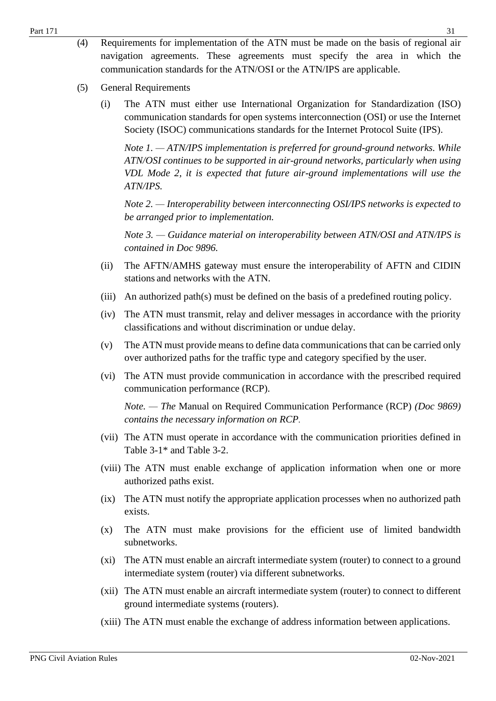- (5) General Requirements
	- (i) The ATN must either use International Organization for Standardization (ISO) communication standards for open systems interconnection (OSI) or use the Internet Society (ISOC) communications standards for the Internet Protocol Suite (IPS).

*Note 1. — ATN/IPS implementation is preferred for ground-ground networks. While ATN/OSI continues to be supported in air-ground networks, particularly when using VDL Mode 2, it is expected that future air-ground implementations will use the ATN/IPS.*

*Note 2. — Interoperability between interconnecting OSI/IPS networks is expected to be arranged prior to implementation.*

*Note 3. — Guidance material on interoperability between ATN/OSI and ATN/IPS is contained in Doc 9896.*

- (ii) The AFTN/AMHS gateway must ensure the interoperability of AFTN and CIDIN stations and networks with the ATN.
- (iii) An authorized path(s) must be defined on the basis of a predefined routing policy.
- (iv) The ATN must transmit, relay and deliver messages in accordance with the priority classifications and without discrimination or undue delay.
- (v) The ATN must provide means to define data communications that can be carried only over authorized paths for the traffic type and category specified by the user.
- (vi) The ATN must provide communication in accordance with the prescribed required communication performance (RCP).

*Note. — The* Manual on Required Communication Performance (RCP) *(Doc 9869) contains the necessary information on RCP.*

- (vii) The ATN must operate in accordance with the communication priorities defined in Table 3-1\* and Table 3-2.
- (viii) The ATN must enable exchange of application information when one or more authorized paths exist.
- (ix) The ATN must notify the appropriate application processes when no authorized path exists.
- (x) The ATN must make provisions for the efficient use of limited bandwidth subnetworks.
- (xi) The ATN must enable an aircraft intermediate system (router) to connect to a ground intermediate system (router) via different subnetworks.
- (xii) The ATN must enable an aircraft intermediate system (router) to connect to different ground intermediate systems (routers).
- (xiii) The ATN must enable the exchange of address information between applications.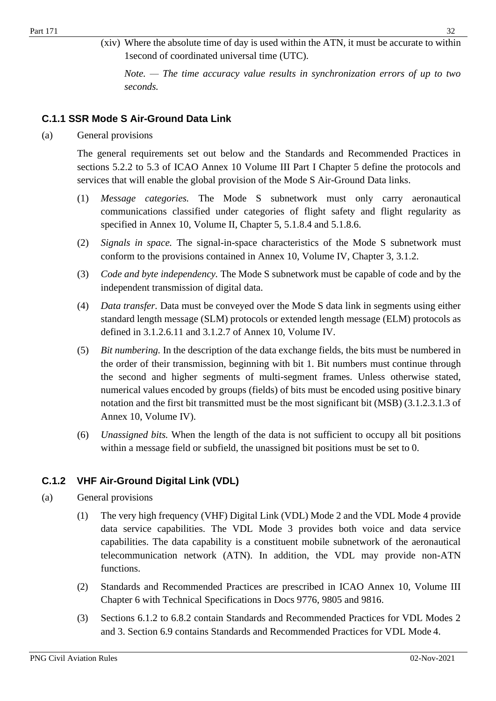(xiv) Where the absolute time of day is used within the ATN, it must be accurate to within 1second of coordinated universal time (UTC).

*Note. — The time accuracy value results in synchronization errors of up to two seconds.*

## <span id="page-31-0"></span>**C.1.1 SSR Mode S Air-Ground Data Link**

(a) General provisions

The general requirements set out below and the Standards and Recommended Practices in sections 5.2.2 to 5.3 of ICAO Annex 10 Volume III Part I Chapter 5 define the protocols and services that will enable the global provision of the Mode S Air-Ground Data links.

- (1) *Message categories.* The Mode S subnetwork must only carry aeronautical communications classified under categories of flight safety and flight regularity as specified in Annex 10, Volume II, Chapter 5, 5.1.8.4 and 5.1.8.6.
- (2) *Signals in space.* The signal-in-space characteristics of the Mode S subnetwork must conform to the provisions contained in Annex 10, Volume IV, Chapter 3, 3.1.2.
- (3) *Code and byte independency.* The Mode S subnetwork must be capable of code and by the independent transmission of digital data.
- (4) *Data transfer.* Data must be conveyed over the Mode S data link in segments using either standard length message (SLM) protocols or extended length message (ELM) protocols as defined in 3.1.2.6.11 and 3.1.2.7 of Annex 10, Volume IV.
- (5) *Bit numbering.* In the description of the data exchange fields, the bits must be numbered in the order of their transmission, beginning with bit 1. Bit numbers must continue through the second and higher segments of multi-segment frames. Unless otherwise stated, numerical values encoded by groups (fields) of bits must be encoded using positive binary notation and the first bit transmitted must be the most significant bit (MSB) (3.1.2.3.1.3 of Annex 10, Volume IV).
- (6) *Unassigned bits.* When the length of the data is not sufficient to occupy all bit positions within a message field or subfield, the unassigned bit positions must be set to 0.

## <span id="page-31-1"></span>**C.1.2 VHF Air-Ground Digital Link (VDL)**

#### (a) General provisions

- (1) The very high frequency (VHF) Digital Link (VDL) Mode 2 and the VDL Mode 4 provide data service capabilities. The VDL Mode 3 provides both voice and data service capabilities. The data capability is a constituent mobile subnetwork of the aeronautical telecommunication network (ATN). In addition, the VDL may provide non-ATN functions.
- (2) Standards and Recommended Practices are prescribed in ICAO Annex 10, Volume III Chapter 6 with Technical Specifications in Docs 9776, 9805 and 9816.
- (3) Sections 6.1.2 to 6.8.2 contain Standards and Recommended Practices for VDL Modes 2 and 3. Section 6.9 contains Standards and Recommended Practices for VDL Mode 4.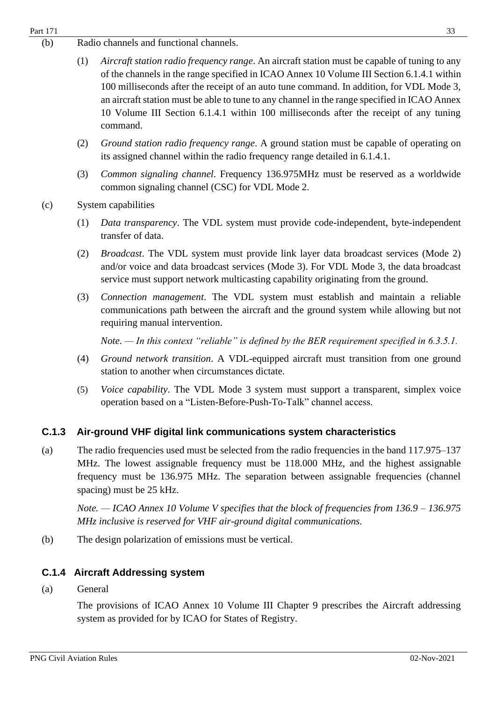- (b) Radio channels and functional channels.
	- (1) *Aircraft station radio frequency range*. An aircraft station must be capable of tuning to any of the channels in the range specified in ICAO Annex 10 Volume III Section 6.1.4.1 within 100 milliseconds after the receipt of an auto tune command. In addition, for VDL Mode 3, an aircraft station must be able to tune to any channel in the range specified in ICAO Annex 10 Volume III Section 6.1.4.1 within 100 milliseconds after the receipt of any tuning command.
	- (2) *Ground station radio frequency range*. A ground station must be capable of operating on its assigned channel within the radio frequency range detailed in 6.1.4.1.
	- (3) *Common signaling channel*. Frequency 136.975MHz must be reserved as a worldwide common signaling channel (CSC) for VDL Mode 2.
- (c) System capabilities
	- (1) *Data transparency*. The VDL system must provide code-independent, byte-independent transfer of data.
	- (2) *Broadcast*. The VDL system must provide link layer data broadcast services (Mode 2) and/or voice and data broadcast services (Mode 3). For VDL Mode 3, the data broadcast service must support network multicasting capability originating from the ground.
	- (3) *Connection management*. The VDL system must establish and maintain a reliable communications path between the aircraft and the ground system while allowing but not requiring manual intervention.

*Note. — In this context "reliable" is defined by the BER requirement specified in 6.3.5.1.*

- (4) *Ground network transition*. A VDL-equipped aircraft must transition from one ground station to another when circumstances dictate.
- (5) *Voice capability*. The VDL Mode 3 system must support a transparent, simplex voice operation based on a "Listen-Before-Push-To-Talk" channel access.

#### <span id="page-32-0"></span>**C.1.3 Air-ground VHF digital link communications system characteristics**

(a) The radio frequencies used must be selected from the radio frequencies in the band 117.975–137 MHz. The lowest assignable frequency must be 118.000 MHz, and the highest assignable frequency must be 136.975 MHz. The separation between assignable frequencies (channel spacing) must be 25 kHz.

*Note. — ICAO Annex 10 Volume V specifies that the block of frequencies from 136.9 – 136.975 MHz inclusive is reserved for VHF air-ground digital communications.*

(b) The design polarization of emissions must be vertical.

#### <span id="page-32-1"></span>**C.1.4 Aircraft Addressing system**

(a) General

The provisions of ICAO Annex 10 Volume III Chapter 9 prescribes the Aircraft addressing system as provided for by ICAO for States of Registry.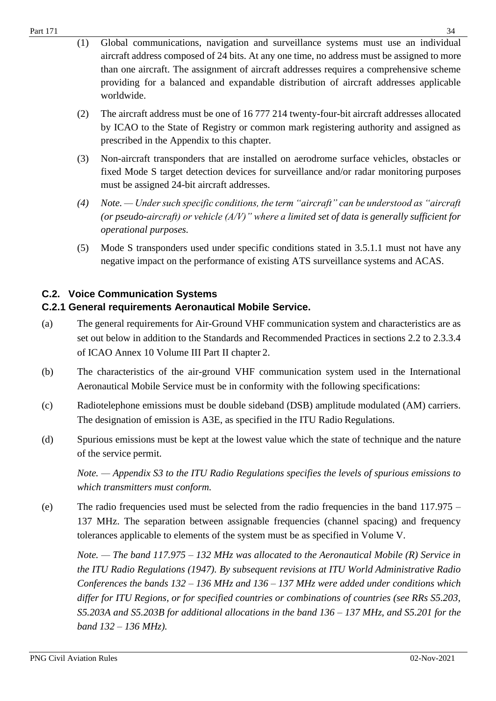- (1) Global communications, navigation and surveillance systems must use an individual aircraft address composed of 24 bits. At any one time, no address must be assigned to more than one aircraft. The assignment of aircraft addresses requires a comprehensive scheme providing for a balanced and expandable distribution of aircraft addresses applicable worldwide.
- (2) The aircraft address must be one of 16 777 214 twenty-four-bit aircraft addresses allocated by ICAO to the State of Registry or common mark registering authority and assigned as prescribed in the Appendix to this chapter.
- (3) Non-aircraft transponders that are installed on aerodrome surface vehicles, obstacles or fixed Mode S target detection devices for surveillance and/or radar monitoring purposes must be assigned 24-bit aircraft addresses.
- *(4) Note. — Under such specific conditions, the term "aircraft" can be understood as "aircraft (or pseudo-aircraft) or vehicle (A/V)" where a limited set of data is generally sufficient for operational purposes.*
- (5) Mode S transponders used under specific conditions stated in 3.5.1.1 must not have any negative impact on the performance of existing ATS surveillance systems and ACAS.

## <span id="page-33-0"></span>**C.2. Voice Communication Systems**

## <span id="page-33-1"></span>**C.2.1 General requirements Aeronautical Mobile Service.**

- (a) The general requirements for Air-Ground VHF communication system and characteristics are as set out below in addition to the Standards and Recommended Practices in sections 2.2 to 2.3.3.4 of ICAO Annex 10 Volume III Part II chapter 2.
- (b) The characteristics of the air-ground VHF communication system used in the International Aeronautical Mobile Service must be in conformity with the following specifications:
- (c) Radiotelephone emissions must be double sideband (DSB) amplitude modulated (AM) carriers. The designation of emission is A3E, as specified in the ITU Radio Regulations.
- (d) Spurious emissions must be kept at the lowest value which the state of technique and the nature of the service permit.

*Note. — Appendix S3 to the ITU Radio Regulations specifies the levels of spurious emissions to which transmitters must conform.*

(e) The radio frequencies used must be selected from the radio frequencies in the band 117.975 – 137 MHz. The separation between assignable frequencies (channel spacing) and frequency tolerances applicable to elements of the system must be as specified in Volume V.

*Note. — The band 117.975 – 132 MHz was allocated to the Aeronautical Mobile (R) Service in the ITU Radio Regulations (1947). By subsequent revisions at ITU World Administrative Radio Conferences the bands 132 – 136 MHz and 136 – 137 MHz were added under conditions which differ for ITU Regions, or for specified countries or combinations of countries (see RRs S5.203, S5.203A and S5.203B for additional allocations in the band 136 – 137 MHz, and S5.201 for the band 132* – *136 MHz).*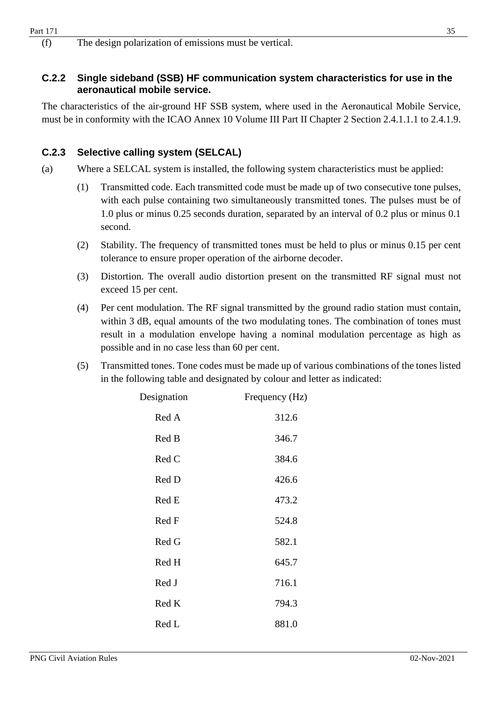(f) The design polarization of emissions must be vertical.

#### <span id="page-34-0"></span>**C.2.2 Single sideband (SSB) HF communication system characteristics for use in the aeronautical mobile service.**

The characteristics of the air-ground HF SSB system, where used in the Aeronautical Mobile Service, must be in conformity with the ICAO Annex 10 Volume III Part II Chapter 2 Section 2.4.1.1.1 to 2.4.1.9.

## <span id="page-34-1"></span>**C.2.3 Selective calling system (SELCAL)**

- (a) Where a SELCAL system is installed, the following system characteristics must be applied:
	- (1) Transmitted code. Each transmitted code must be made up of two consecutive tone pulses, with each pulse containing two simultaneously transmitted tones. The pulses must be of 1.0 plus or minus 0.25 seconds duration, separated by an interval of 0.2 plus or minus 0.1 second.
	- (2) Stability. The frequency of transmitted tones must be held to plus or minus 0.15 per cent tolerance to ensure proper operation of the airborne decoder.
	- (3) Distortion. The overall audio distortion present on the transmitted RF signal must not exceed 15 per cent.
	- (4) Per cent modulation. The RF signal transmitted by the ground radio station must contain, within 3 dB, equal amounts of the two modulating tones. The combination of tones must result in a modulation envelope having a nominal modulation percentage as high as possible and in no case less than 60 per cent.
	- (5) Transmitted tones. Tone codes must be made up of various combinations of the tones listed in the following table and designated by colour and letter as indicated:

| Designation | Frequency (Hz) |
|-------------|----------------|
| Red A       | 312.6          |
| Red B       | 346.7          |
| Red C       | 384.6          |
| Red D       | 426.6          |
| Red E       | 473.2          |
| Red F       | 524.8          |
| Red G       | 582.1          |
| Red H       | 645.7          |
| Red J       | 716.1          |
| Red K       | 794.3          |
| Red L       | 881.0          |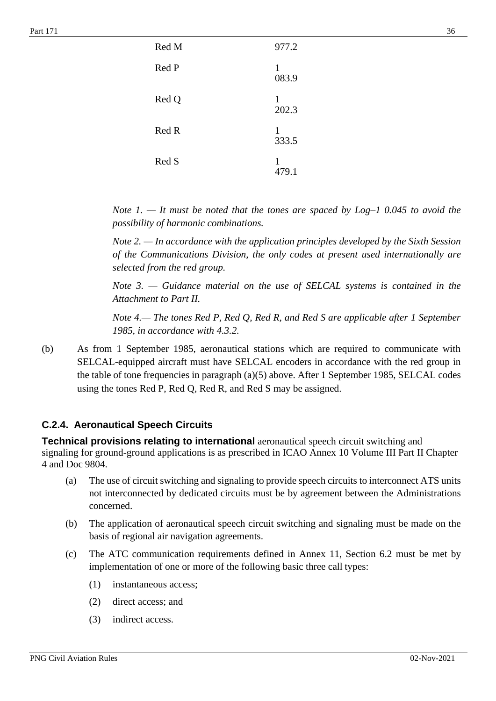| Red M | 977.2      |
|-------|------------|
| Red P | 1<br>083.9 |
| Red Q | 1<br>202.3 |
| Red R | 1<br>333.5 |
| Red S | 1<br>479.1 |

*Note 1. — It must be noted that the tones are spaced by Log–1 0.045 to avoid the possibility of harmonic combinations.*

*Note 2. — In accordance with the application principles developed by the Sixth Session of the Communications Division, the only codes at present used internationally are selected from the red group.*

*Note 3. — Guidance material on the use of SELCAL systems is contained in the Attachment to Part II.*

*Note 4.— The tones Red P, Red Q, Red R, and Red S are applicable after 1 September 1985, in accordance with 4.3.2.* 

(b) As from 1 September 1985, aeronautical stations which are required to communicate with SELCAL-equipped aircraft must have SELCAL encoders in accordance with the red group in the table of tone frequencies in paragraph (a)(5) above. After 1 September 1985, SELCAL codes using the tones Red P, Red Q, Red R, and Red S may be assigned.

#### **C.2.4. Aeronautical Speech Circuits**

**Technical provisions relating to international** aeronautical speech circuit switching and signaling for ground-ground applications is as prescribed in ICAO Annex 10 Volume III Part II Chapter 4 and Doc 9804.

- (a) The use of circuit switching and signaling to provide speech circuits to interconnect ATS units not interconnected by dedicated circuits must be by agreement between the Administrations concerned.
- (b) The application of aeronautical speech circuit switching and signaling must be made on the basis of regional air navigation agreements.
- (c) The ATC communication requirements defined in Annex 11, Section 6.2 must be met by implementation of one or more of the following basic three call types:
	- (1) instantaneous access;
	- (2) direct access; and
	- (3) indirect access.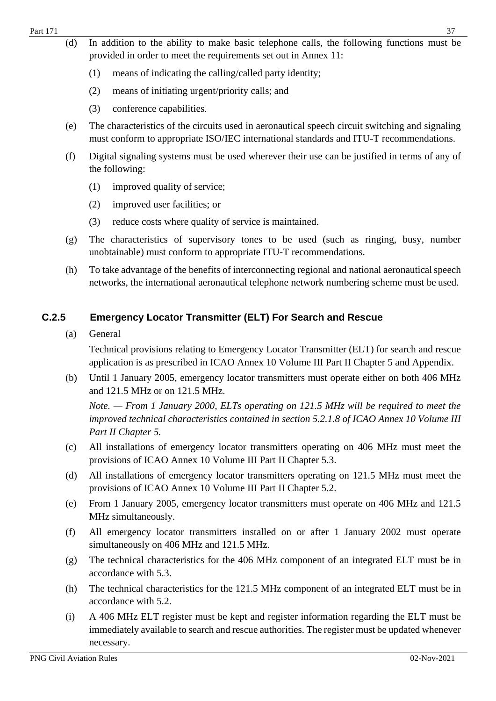- (d) In addition to the ability to make basic telephone calls, the following functions must be provided in order to meet the requirements set out in Annex 11:
	- (1) means of indicating the calling/called party identity;
	- (2) means of initiating urgent/priority calls; and
	- (3) conference capabilities.
- (e) The characteristics of the circuits used in aeronautical speech circuit switching and signaling must conform to appropriate ISO/IEC international standards and ITU-T recommendations.
- (f) Digital signaling systems must be used wherever their use can be justified in terms of any of the following:
	- (1) improved quality of service;
	- (2) improved user facilities; or
	- (3) reduce costs where quality of service is maintained.
- (g) The characteristics of supervisory tones to be used (such as ringing, busy, number unobtainable) must conform to appropriate ITU-T recommendations.
- (h) To take advantage of the benefits of interconnecting regional and national aeronauticalspeech networks, the international aeronautical telephone network numbering scheme must be used.

## **C.2.5 Emergency Locator Transmitter (ELT) For Search and Rescue**

(a) General

Technical provisions relating to Emergency Locator Transmitter (ELT) for search and rescue application is as prescribed in ICAO Annex 10 Volume III Part II Chapter 5 and Appendix.

(b) Until 1 January 2005, emergency locator transmitters must operate either on both 406 MHz and 121.5 MHz or on 121.5 MHz.

*Note. — From 1 January 2000, ELTs operating on 121.5 MHz will be required to meet the improved technical characteristics contained in section 5.2.1.8 of ICAO Annex 10 Volume III Part II Chapter 5.*

- (c) All installations of emergency locator transmitters operating on 406 MHz must meet the provisions of ICAO Annex 10 Volume III Part II Chapter 5.3.
- (d) All installations of emergency locator transmitters operating on 121.5 MHz must meet the provisions of ICAO Annex 10 Volume III Part II Chapter 5.2.
- (e) From 1 January 2005, emergency locator transmitters must operate on 406 MHz and 121.5 MHz simultaneously.
- (f) All emergency locator transmitters installed on or after 1 January 2002 must operate simultaneously on 406 MHz and 121.5 MHz.
- (g) The technical characteristics for the 406 MHz component of an integrated ELT must be in accordance with 5.3.
- (h) The technical characteristics for the 121.5 MHz component of an integrated ELT must be in accordance with 5.2.
- (i) A 406 MHz ELT register must be kept and register information regarding the ELT must be immediately available to search and rescue authorities. The register must be updated whenever necessary.